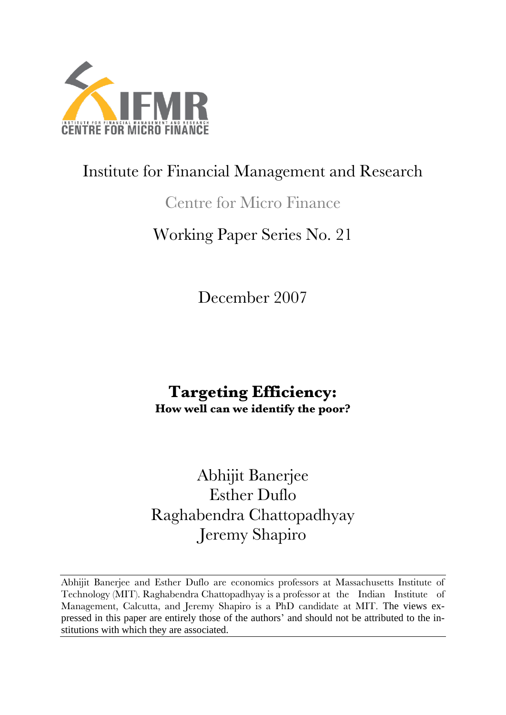

# Institute for Financial Management and Research

# Centre for Micro Finance

# Working Paper Series No. 21

December 2007

## **Targeting Efficiency: How well can we identify the poor?**

Abhijit Banerjee Esther Duflo Raghabendra Chattopadhyay Jeremy Shapiro

Abhijit Banerjee and Esther Duflo are economics professors at Massachusetts Institute of Technology (MIT). Raghabendra Chattopadhyay is a professor at the Indian Institute of Management, Calcutta, and Jeremy Shapiro is a PhD candidate at MIT. The views expressed in this paper are entirely those of the authors' and should not be attributed to the institutions with which they are associated.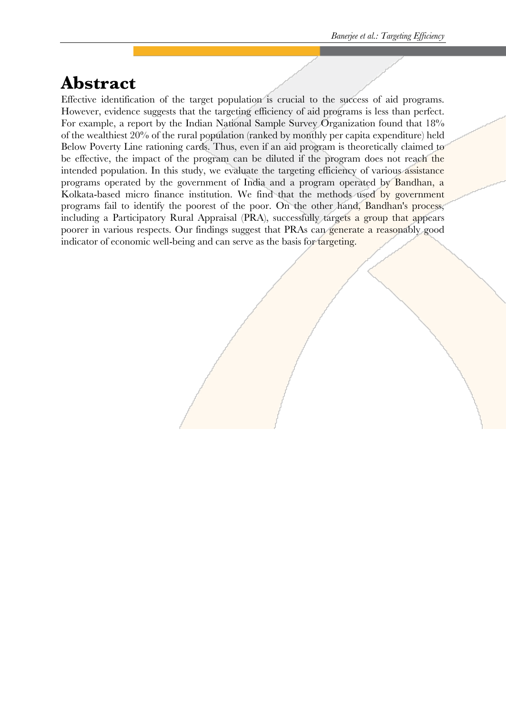# **Abstract**

Effective identification of the target population is crucial to the success of aid programs. However, evidence suggests that the targeting efficiency of aid programs is less than perfect. For example, a report by the Indian National Sample Survey Organization found that 18% of the wealthiest 20% of the rural population (ranked by monthly per capita expenditure) held Below Poverty Line rationing cards. Thus, even if an aid program is theoretically claimed to be effective, the impact of the program can be diluted if the program does not reach the intended population. In this study, we evaluate the targeting efficiency of various assistance programs operated by the government of India and a program operated by Bandhan, a Kolkata-based micro finance institution. We find that the methods used by government programs fail to identify the poorest of the poor. On the other hand, Bandhan's process, including a Participatory Rural Appraisal (PRA), successfully targets a group that appears poorer in various respects. Our findings suggest that PRAs can generate a reasonably good indicator of economic well-being and can serve as the basis for targeting.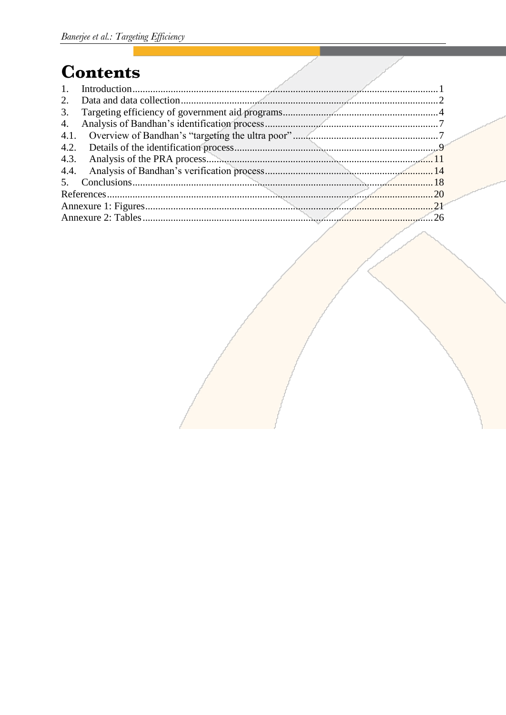# **Contents**

| 3. |  |
|----|--|
| 4. |  |
|    |  |
|    |  |
|    |  |
|    |  |
|    |  |
|    |  |
|    |  |
|    |  |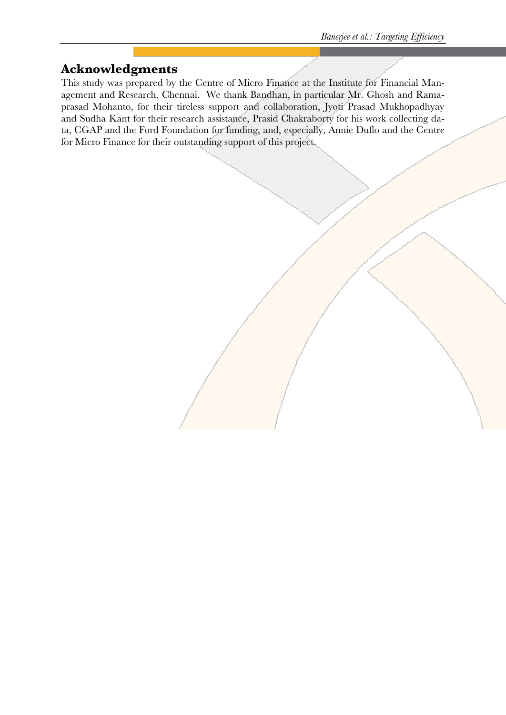## **Acknowledgments**

This study was prepared by the Centre of Micro Finance at the Institute for Financial Management and Research, Chennai. We thank Bandhan, in particular Mr. Ghosh and Ramaprasad Mohanto, for their tireless support and collaboration, Jyoti Prasad Mukhopadhyay and Sudha Kant for their research assistance, Prasid Chakraborty for his work collecting data, CGAP and the Ford Foundation for funding, and, especially, Annie Duflo and the Centre for Micro Finance for their outstanding support of this project.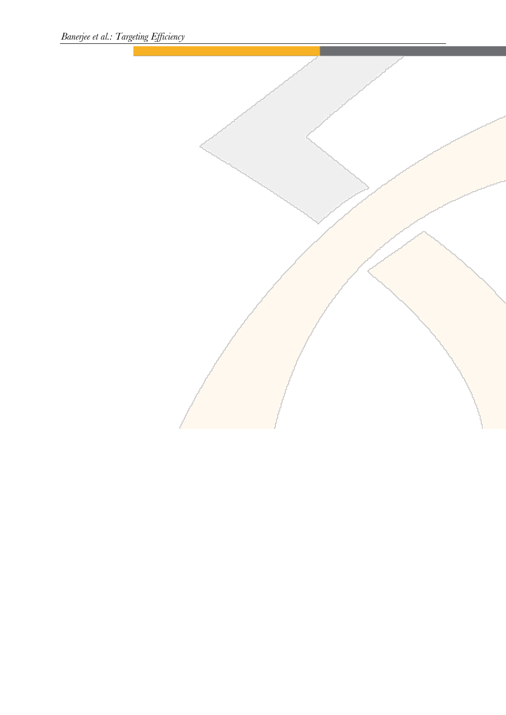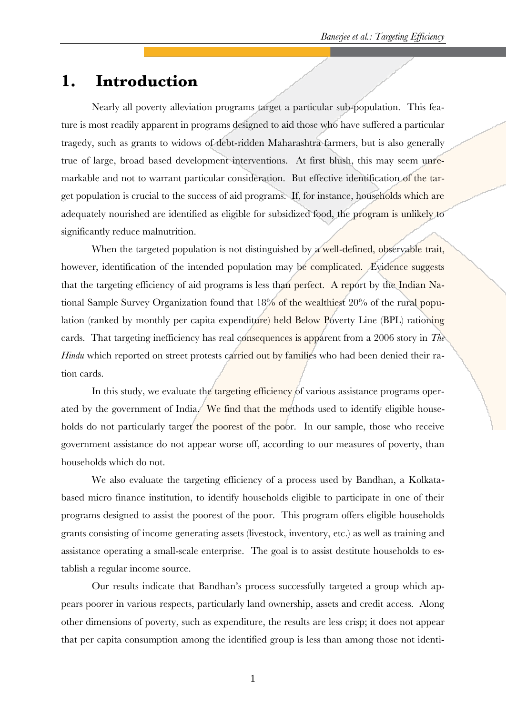## **1. Introduction**

Nearly all poverty alleviation programs target a particular sub-population. This feature is most readily apparent in programs designed to aid those who have suffered a particular tragedy, such as grants to widows of debt-ridden Maharashtra farmers, but is also generally true of large, broad based development interventions. At first blush, this may seem unremarkable and not to warrant particular consideration. But effective identification of the target population is crucial to the success of aid programs. If, for instance, households which are adequately nourished are identified as eligible for subsidized food, the program is unlikely to significantly reduce malnutrition.

When the targeted population is not distinguished by a well-defined, observable trait, however, identification of the intended population may be complicated. Evidence suggests that the targeting efficiency of aid programs is less than perfect. A report by the Indian National Sample Survey Organization found that 18% of the wealthiest 20% of the rural population (ranked by monthly per capita expenditure) held Below Poverty Line (BPL) rationing cards. That targeting inefficiency has real consequences is apparent from a 2006 story in *The Hindu* which reported on street protests carried out by families who had been denied their ration cards.

In this study, we evaluate the targeting efficiency of various assistance programs operated by the government of India. We find that the methods used to identify eligible households do not particularly target the poorest of the poor. In our sample, those who receive government assistance do not appear worse off, according to our measures of poverty, than households which do not.

We also evaluate the targeting efficiency of a process used by Bandhan, a Kolkatabased micro finance institution, to identify households eligible to participate in one of their programs designed to assist the poorest of the poor. This program offers eligible households grants consisting of income generating assets (livestock, inventory, etc.) as well as training and assistance operating a small-scale enterprise. The goal is to assist destitute households to establish a regular income source.

Our results indicate that Bandhan's process successfully targeted a group which appears poorer in various respects, particularly land ownership, assets and credit access. Along other dimensions of poverty, such as expenditure, the results are less crisp; it does not appear that per capita consumption among the identified group is less than among those not identi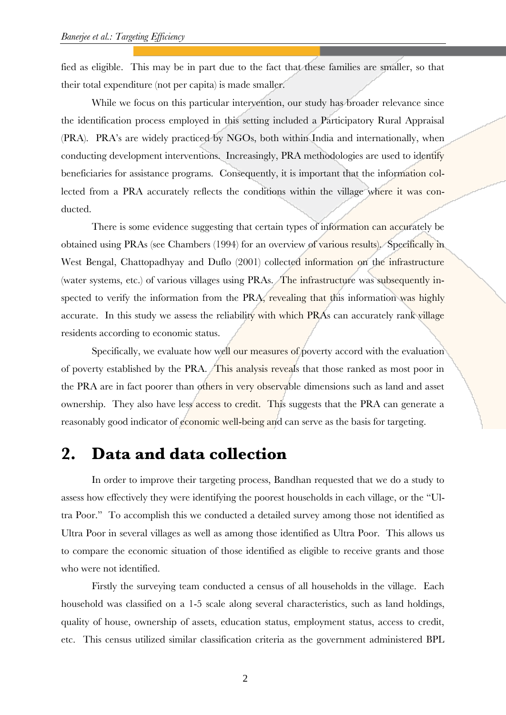fied as eligible. This may be in part due to the fact that these families are smaller, so that their total expenditure (not per capita) is made smaller.

While we focus on this particular intervention, our study has broader relevance since the identification process employed in this setting included a Participatory Rural Appraisal (PRA). PRA's are widely practiced by NGOs, both within India and internationally, when conducting development interventions. Increasingly, PRA methodologies are used to identify beneficiaries for assistance programs. Consequently, it is important that the information collected from a PRA accurately reflects the conditions within the village where it was conducted.

There is some evidence suggesting that certain types of information can accurately be obtained using PRAs (see Chambers (1994) for an overview of various results). Specifically in West Bengal, Chattopadhyay and Duflo (2001) collected information on the infrastructure (water systems, etc.) of various villages using PRAs. The infrastructure was subsequently inspected to verify the information from the PRA, revealing that this information was highly accurate. In this study we assess the reliability with which PRAs can accurately rank village residents according to economic status.

Specifically, we evaluate how well our measures of poverty accord with the evaluation of poverty established by the PRA. This analysis reveals that those ranked as most poor in the PRA are in fact poorer than others in very observable dimensions such as land and asset ownership. They also have less access to credit. This suggests that the PRA can generate a reasonably good indicator of economic well-being and can serve as the basis for targeting.

## **2. Data and data collection**

In order to improve their targeting process, Bandhan requested that we do a study to assess how effectively they were identifying the poorest households in each village, or the "Ultra Poor." To accomplish this we conducted a detailed survey among those not identified as Ultra Poor in several villages as well as among those identified as Ultra Poor. This allows us to compare the economic situation of those identified as eligible to receive grants and those who were not identified.

Firstly the surveying team conducted a census of all households in the village. Each household was classified on a 1-5 scale along several characteristics, such as land holdings, quality of house, ownership of assets, education status, employment status, access to credit, etc. This census utilized similar classification criteria as the government administered BPL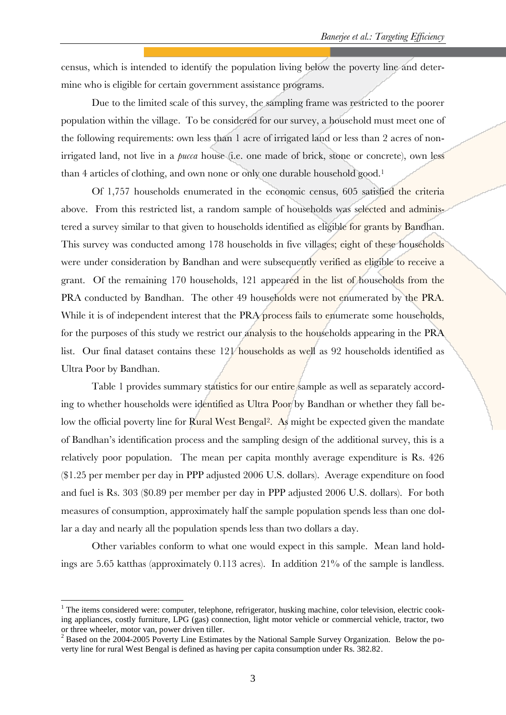census, which is intended to identify the population living below the poverty line and determine who is eligible for certain government assistance programs.

Due to the limited scale of this survey, the sampling frame was restricted to the poorer population within the village. To be considered for our survey, a household must meet one of the following requirements: own less than 1 acre of irrigated land or less than 2 acres of nonirrigated land, not live in a *pucca* house (i.e. one made of brick, stone or concrete), own less than 4 articles of clothing, and own none or only one durable household good.<sup>1</sup>

Of 1,757 households enumerated in the economic census, 605 satisfied the criteria above. From this restricted list, a random sample of households was selected and administered a survey similar to that given to households identified as eligible for grants by Bandhan. This survey was conducted among 178 households in five villages; eight of these households were under consideration by Bandhan and were subsequently verified as eligible to receive a grant. Of the remaining 170 households, 121 appeared in the list of households from the PRA conducted by Bandhan. The other 49 households were not enumerated by the PRA. While it is of independent interest that the PRA process fails to enumerate some households, for the purposes of this study we restrict our analysis to the households appearing in the PRA list. Our final dataset contains these 121 households as well as 92 households identified as Ultra Poor by Bandhan.

Table 1 provides summary statistics for our entire sample as well as separately according to whether households were identified as Ultra Poor by Bandhan or whether they fall below the official poverty line for Rural West Bengal<sup>2</sup>. As might be expected given the mandate of Bandhan's identification process and the sampling design of the additional survey, this is a relatively poor population. The mean per capita monthly average expenditure is Rs. 426 (\$1.25 per member per day in PPP adjusted 2006 U.S. dollars). Average expenditure on food and fuel is Rs. 303 (\$0.89 per member per day in PPP adjusted 2006 U.S. dollars). For both measures of consumption, approximately half the sample population spends less than one dollar a day and nearly all the population spends less than two dollars a day.

Other variables conform to what one would expect in this sample. Mean land holdings are 5.65 katthas (approximately 0.113 acres). In addition 21% of the sample is landless.

<u>.</u>

 $1$ . The items considered were: computer, telephone, refrigerator, husking machine, color television, electric cooking appliances, costly furniture, LPG (gas) connection, light motor vehicle or commercial vehicle, tractor, two or three wheeler, motor van, power driven tiller.

<sup>&</sup>lt;sup>2</sup> Based on the 2004-2005 Poverty Line Estimates by the National Sample Survey Organization. Below the poverty line for rural West Bengal is defined as having per capita consumption under Rs. 382.82.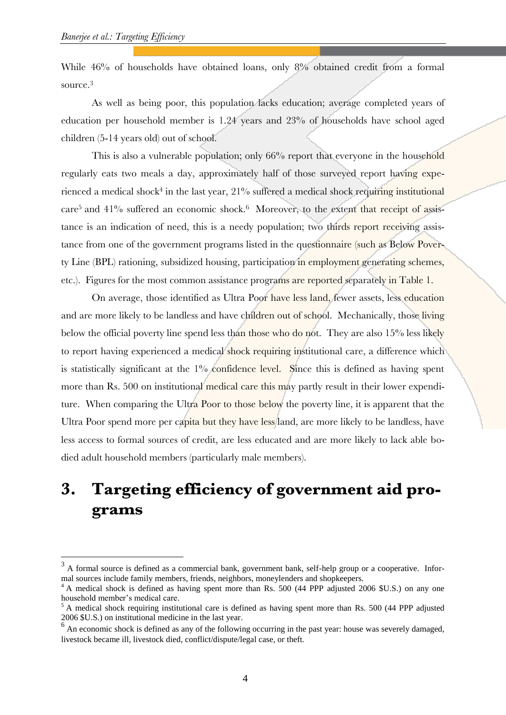While  $46\%$  of households have obtained loans, only  $8\%$  obtained credit from a formal source.<sup>3</sup>

As well as being poor, this population lacks education; average completed years of education per household member is 1.24 years and 23% of households have school aged children (5-14 years old) out of school.

This is also a vulnerable population; only 66% report that everyone in the household regularly eats two meals a day, approximately half of those surveyed report having experienced a medical shock<sup>4</sup> in the last year, 21% suffered a medical shock requiring institutional care<sup>5</sup> and  $41\%$  suffered an economic shock.<sup>6</sup> Moreover, to the extent that receipt of assistance is an indication of need, this is a needy population; two thirds report receiving assistance from one of the government programs listed in the questionnaire (such as Below Poverty Line (BPL) rationing, subsidized housing, participation in employment generating schemes, etc.). Figures for the most common assistance programs are reported separately in Table 1.

On average, those identified as Ultra Poor have less land, fewer assets, less education and are more likely to be landless and have children out of school. Mechanically, those living below the official poverty line spend less than those who do not. They are also 15% less likely to report having experienced a medical shock requiring institutional care, a difference which is statistically significant at the  $1\%$  confidence level. Since this is defined as having spent more than Rs. 500 on institutional medical care this may partly result in their lower expenditure. When comparing the Ultra Poor to those below the poverty line, it is apparent that the Ultra Poor spend more per capita but they have less land, are more likely to be landless, have less access to formal sources of credit, are less educated and are more likely to lack able bodied adult household members (particularly male members).

## **3. Targeting efficiency of government aid programs**

<sup>&</sup>lt;sup>3</sup> A formal source is defined as a commercial bank, government bank, self-help group or a cooperative. Informal sources include family members, friends, neighbors, moneylenders and shopkeepers.

<sup>4</sup> A medical shock is defined as having spent more than Rs. 500 (44 PPP adjusted 2006 \$U.S.) on any one household member's medical care.

<sup>&</sup>lt;sup>5</sup> A medical shock requiring institutional care is defined as having spent more than Rs. 500 (44 PPP adjusted 2006 \$U.S.) on institutional medicine in the last year.

<sup>&</sup>lt;sup>6</sup> An economic shock is defined as any of the following occurring in the past year: house was severely damaged, livestock became ill, livestock died, conflict/dispute/legal case, or theft.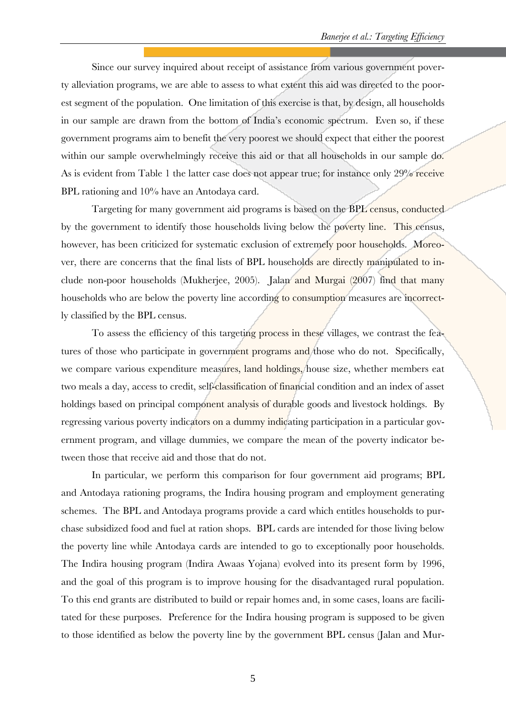Since our survey inquired about receipt of assistance from various government poverty alleviation programs, we are able to assess to what extent this aid was directed to the poorest segment of the population. One limitation of this exercise is that, by design, all households in our sample are drawn from the bottom of India's economic spectrum. Even so, if these government programs aim to benefit the very poorest we should expect that either the poorest within our sample overwhelmingly receive this aid or that all households in our sample do. As is evident from Table 1 the latter case does not appear true; for instance only 29% receive BPL rationing and 10% have an Antodaya card.

Targeting for many government aid programs is based on the BPL census, conducted by the government to identify those households living below the poverty line. This census, however, has been criticized for systematic exclusion of extremely poor households. Moreover, there are concerns that the final lists of BPL households are directly manipulated to include non-poor households (Mukherjee, 2005). Jalan and Murgai (2007) find that many households who are below the poverty line according to consumption measures are incorrectly classified by the BPL census.

To assess the efficiency of this targeting process in these villages, we contrast the features of those who participate in government programs and those who do not. Specifically, we compare various expenditure measures, land holdings, house size, whether members eat two meals a day, access to credit, self-classification of financial condition and an index of asset holdings based on principal component analysis of durable goods and livestock holdings. By regressing various poverty indicators on a dummy indicating participation in a particular government program, and village dummies, we compare the mean of the poverty indicator between those that receive aid and those that do not.

In particular, we perform this comparison for four government aid programs; BPL and Antodaya rationing programs, the Indira housing program and employment generating schemes. The BPL and Antodaya programs provide a card which entitles households to purchase subsidized food and fuel at ration shops. BPL cards are intended for those living below the poverty line while Antodaya cards are intended to go to exceptionally poor households. The Indira housing program (Indira Awaas Yojana) evolved into its present form by 1996, and the goal of this program is to improve housing for the disadvantaged rural population. To this end grants are distributed to build or repair homes and, in some cases, loans are facilitated for these purposes. Preference for the Indira housing program is supposed to be given to those identified as below the poverty line by the government BPL census (Jalan and Mur-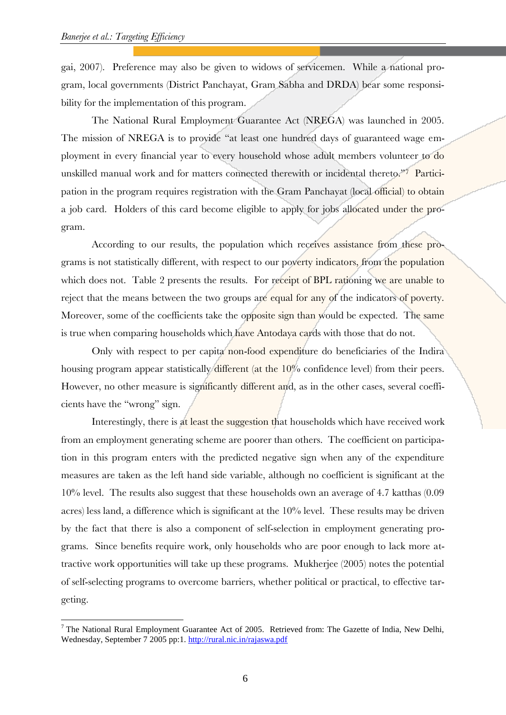1

gai, 2007). Preference may also be given to widows of servicemen. While a national program, local governments (District Panchayat, Gram Sabha and DRDA) bear some responsibility for the implementation of this program.

The National Rural Employment Guarantee Act (NREGA) was launched in 2005. The mission of NREGA is to provide "at least one hundred days of guaranteed wage employment in every financial year to every household whose adult members volunteer to do unskilled manual work and for matters connected therewith or incidental thereto."7 Participation in the program requires registration with the Gram Panchayat (local official) to obtain a job card. Holders of this card become eligible to apply for jobs allocated under the program.

According to our results, the population which receives assistance from these programs is not statistically different, with respect to our poverty indicators, from the population which does not. Table 2 presents the results. For receipt of BPL rationing we are unable to reject that the means between the two groups are equal for any of the indicators of poverty. Moreover, some of the coefficients take the opposite sign than would be expected. The same is true when comparing households which have Antodaya cards with those that do not.

Only with respect to per capita non-food expenditure do beneficiaries of the Indira housing program appear statistically different (at the  $10\%$  confidence level) from their peers. However, no other measure is significantly different and, as in the other cases, several coefficients have the "wrong" sign.

Interestingly, there is at least the suggestion that households which have received work from an employment generating scheme are poorer than others. The coefficient on participation in this program enters with the predicted negative sign when any of the expenditure measures are taken as the left hand side variable, although no coefficient is significant at the 10% level. The results also suggest that these households own an average of 4.7 katthas (0.09 acres) less land, a difference which is significant at the 10% level. These results may be driven by the fact that there is also a component of self-selection in employment generating programs. Since benefits require work, only households who are poor enough to lack more attractive work opportunities will take up these programs. Mukherjee (2005) notes the potential of self-selecting programs to overcome barriers, whether political or practical, to effective targeting.

 $7$  The National Rural Employment Guarantee Act of 2005. Retrieved from: The Gazette of India, New Delhi, Wednesday, September 7 2005 pp:1[. http://rural.nic.in/rajaswa.pdf](http://rural.nic.in/rajaswa.pdf)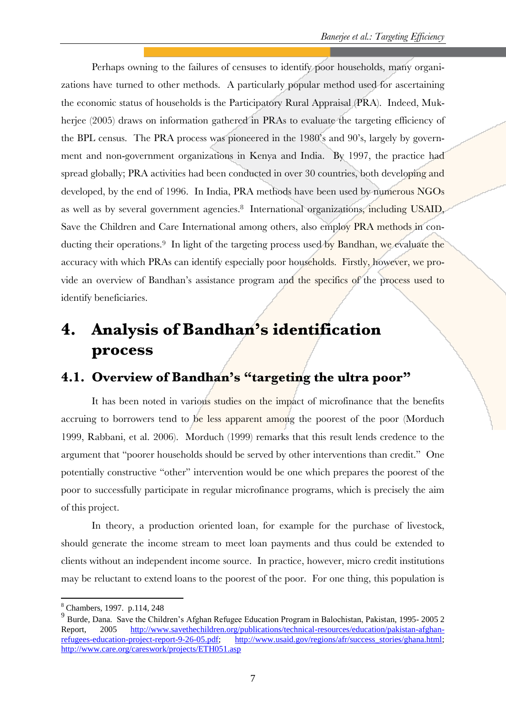Perhaps owning to the failures of censuses to identify poor households, many organizations have turned to other methods. A particularly popular method used for ascertaining the economic status of households is the Participatory Rural Appraisal (PRA). Indeed, Mukherjee (2005) draws on information gathered in PRAs to evaluate the targeting efficiency of the BPL census. The PRA process was pioneered in the 1980's and 90's, largely by government and non-government organizations in Kenya and India. By 1997, the practice had spread globally; PRA activities had been conducted in over 30 countries, both developing and developed, by the end of 1996. In India, PRA methods have been used by numerous NGOs as well as by several government agencies. <sup>8</sup> International organizations, including USAID, Save the Children and Care International among others, also employ PRA methods in conducting their operations.<sup>9</sup> In light of the targeting process used by Bandhan, we evaluate the accuracy with which PRAs can identify especially poor households. Firstly, however, we provide an overview of Bandhan's assistance program and the specifics of the process used to identify beneficiaries.

# **4. Analysis of Bandhan's identification process**

## **4.1. Overview of Bandhan's "targeting the ultra poor"**

It has been noted in various studies on the impact of microfinance that the benefits accruing to borrowers tend to be less apparent among the poorest of the poor (Morduch 1999, Rabbani, et al. 2006). Morduch (1999) remarks that this result lends credence to the argument that "poorer households should be served by other interventions than credit." One potentially constructive "other" intervention would be one which prepares the poorest of the poor to successfully participate in regular microfinance programs, which is precisely the aim of this project.

In theory, a production oriented loan, for example for the purchase of livestock, should generate the income stream to meet loan payments and thus could be extended to clients without an independent income source. In practice, however, micro credit institutions may be reluctant to extend loans to the poorest of the poor. For one thing, this population is

<u>.</u>

<sup>8</sup> Chambers, 1997. p.114, 248

<sup>&</sup>lt;sup>9</sup> Burde, Dana. Save the Children's Afghan Refugee Education Program in Balochistan, Pakistan, 1995-20052 Report, 2005 [http://www.savethechildren.org/publications/technical-resources/education/pakistan-afghan](http://www.savethechildren.org/publications/technical-resources/education/pakistan-afghan-refugees-education-project-report-9-26-05.pdf)[refugees-education-project-report-9-26-05.pdf;](http://www.savethechildren.org/publications/technical-resources/education/pakistan-afghan-refugees-education-project-report-9-26-05.pdf) [http://www.usaid.gov/regions/afr/success\\_stories/ghana.html;](http://www.usaid.gov/regions/afr/success_stories/ghana.html) <http://www.care.org/careswork/projects/ETH051.asp>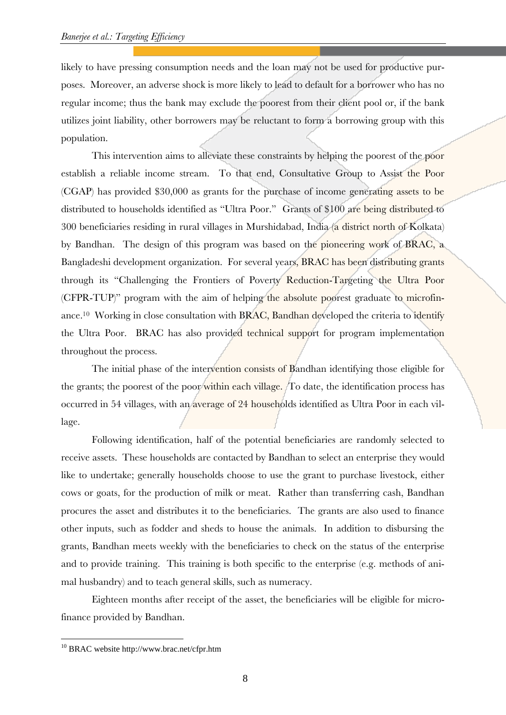likely to have pressing consumption needs and the loan may not be used for productive purposes. Moreover, an adverse shock is more likely to lead to default for a borrower who has no regular income; thus the bank may exclude the poorest from their client pool or, if the bank utilizes joint liability, other borrowers may be reluctant to form a borrowing group with this population.

This intervention aims to alleviate these constraints by helping the poorest of the poor establish a reliable income stream. To that end, Consultative Group to Assist the Poor (CGAP) has provided \$30,000 as grants for the purchase of income generating assets to be distributed to households identified as "Ultra Poor." Grants of \$100 are being distributed to 300 beneficiaries residing in rural villages in Murshidabad, India (a district north of Kolkata) by Bandhan. The design of this program was based on the pioneering work of BRAC, a Bangladeshi development organization. For several years, BRAC has been distributing grants through its "Challenging the Frontiers of Poverty Reduction-Targeting the Ultra Poor (CFPR-TUP)" program with the aim of helping the absolute poorest graduate to microfinance.10 Working in close consultation with BRAC, Bandhan developed the criteria to identify the Ultra Poor. BRAC has also provided technical support for program implementation throughout the process.

The initial phase of the intervention consists of Bandhan identifying those eligible for the grants; the poorest of the poor within each village. To date, the identification process has occurred in 54 villages, with an average of 24 households identified as Ultra Poor in each village.

Following identification, half of the potential beneficiaries are randomly selected to receive assets. These households are contacted by Bandhan to select an enterprise they would like to undertake; generally households choose to use the grant to purchase livestock, either cows or goats, for the production of milk or meat. Rather than transferring cash, Bandhan procures the asset and distributes it to the beneficiaries. The grants are also used to finance other inputs, such as fodder and sheds to house the animals. In addition to disbursing the grants, Bandhan meets weekly with the beneficiaries to check on the status of the enterprise and to provide training. This training is both specific to the enterprise (e.g. methods of animal husbandry) and to teach general skills, such as numeracy.

Eighteen months after receipt of the asset, the beneficiaries will be eligible for microfinance provided by Bandhan.

1

<sup>10</sup> BRAC website http://www.brac.net/cfpr.htm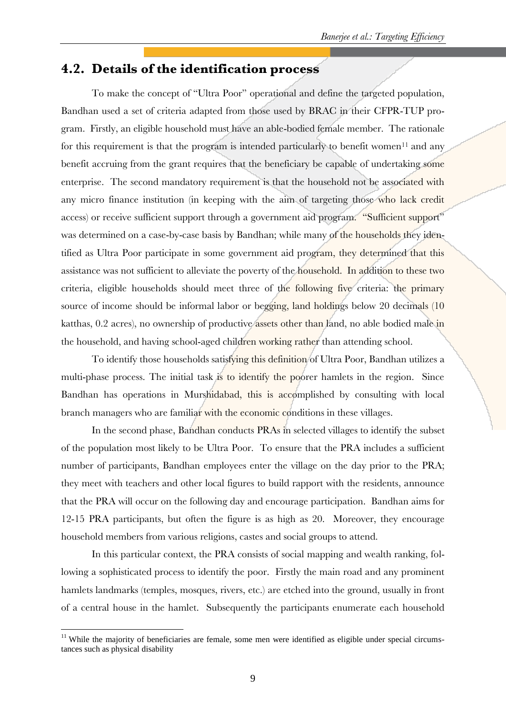## **4.2. Details of the identification process**

To make the concept of "Ultra Poor" operational and define the targeted population, Bandhan used a set of criteria adapted from those used by BRAC in their CFPR-TUP program. Firstly, an eligible household must have an able-bodied female member. The rationale for this requirement is that the program is intended particularly to benefit women<sup>11</sup> and any benefit accruing from the grant requires that the beneficiary be capable of undertaking some enterprise. The second mandatory requirement is that the household not be associated with any micro finance institution (in keeping with the aim of targeting those who lack credit access) or receive sufficient support through a government aid program. "Sufficient support" was determined on a case-by-case basis by Bandhan; while many of the households they identified as Ultra Poor participate in some government aid program, they determined that this assistance was not sufficient to alleviate the poverty of the household. In addition to these two criteria, eligible households should meet three of the following five criteria: the primary source of income should be informal labor or begging, land holdings below 20 decimals (10) katthas, 0.2 acres), no ownership of productive assets other than land, no able bodied male in the household, and having school-aged children working rather than attending school.

To identify those households satisfying this definition of Ultra Poor, Bandhan utilizes a multi-phase process. The initial task is to identify the poorer hamlets in the region. Since Bandhan has operations in Murshidabad, this is accomplished by consulting with local branch managers who are familiar with the economic conditions in these villages.

In the second phase, Bandhan conducts PRAs in selected villages to identify the subset of the population most likely to be Ultra Poor. To ensure that the PRA includes a sufficient number of participants, Bandhan employees enter the village on the day prior to the PRA; they meet with teachers and other local figures to build rapport with the residents, announce that the PRA will occur on the following day and encourage participation. Bandhan aims for 12-15 PRA participants, but often the figure is as high as 20. Moreover, they encourage household members from various religions, castes and social groups to attend.

In this particular context, the PRA consists of social mapping and wealth ranking, following a sophisticated process to identify the poor. Firstly the main road and any prominent hamlets landmarks (temples, mosques, rivers, etc.) are etched into the ground, usually in front of a central house in the hamlet. Subsequently the participants enumerate each household

1

<sup>&</sup>lt;sup>11</sup> While the majority of beneficiaries are female, some men were identified as eligible under special circumstances such as physical disability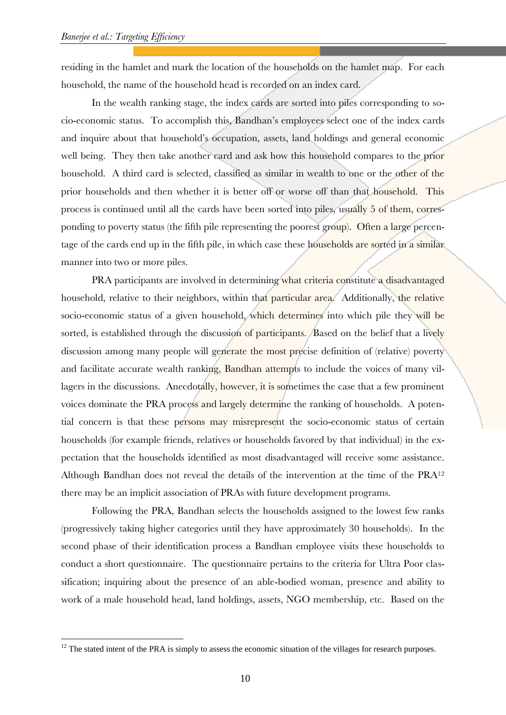1

residing in the hamlet and mark the location of the households on the hamlet map. For each household, the name of the household head is recorded on an index card.

In the wealth ranking stage, the index cards are sorted into piles corresponding to socio-economic status. To accomplish this, Bandhan's employees select one of the index cards and inquire about that household's occupation, assets, land holdings and general economic well being. They then take another card and ask how this household compares to the prior household. A third card is selected, classified as similar in wealth to one or the other of the prior households and then whether it is better off or worse off than that household. This process is continued until all the cards have been sorted into piles, usually 5 of them, corresponding to poverty status (the fifth pile representing the poorest group). Often a large percentage of the cards end up in the fifth pile, in which case these households are sorted in a similar manner into two or more piles.

PRA participants are involved in determining what criteria constitute a disadvantaged household, relative to their neighbors, within that particular area. Additionally, the relative socio-economic status of a given household, which determines into which pile they will be sorted, is established through the discussion of participants. Based on the belief that a lively discussion among many people will generate the most precise definition of (relative) poverty and facilitate accurate wealth ranking, Bandhan attempts to include the voices of many villagers in the discussions. Anecdotally, however, it is sometimes the case that a few prominent voices dominate the PRA process and largely determine the ranking of households. A potential concern is that these persons may misrepresent the socio-economic status of certain households (for example friends, relatives or households favored by that individual) in the expectation that the households identified as most disadvantaged will receive some assistance. Although Bandhan does not reveal the details of the intervention at the time of the PRA<sup>12</sup> there may be an implicit association of PRAs with future development programs.

Following the PRA, Bandhan selects the households assigned to the lowest few ranks (progressively taking higher categories until they have approximately 30 households). In the second phase of their identification process a Bandhan employee visits these households to conduct a short questionnaire. The questionnaire pertains to the criteria for Ultra Poor classification; inquiring about the presence of an able-bodied woman, presence and ability to work of a male household head, land holdings, assets, NGO membership, etc. Based on the

 $12$  The stated intent of the PRA is simply to assess the economic situation of the villages for research purposes.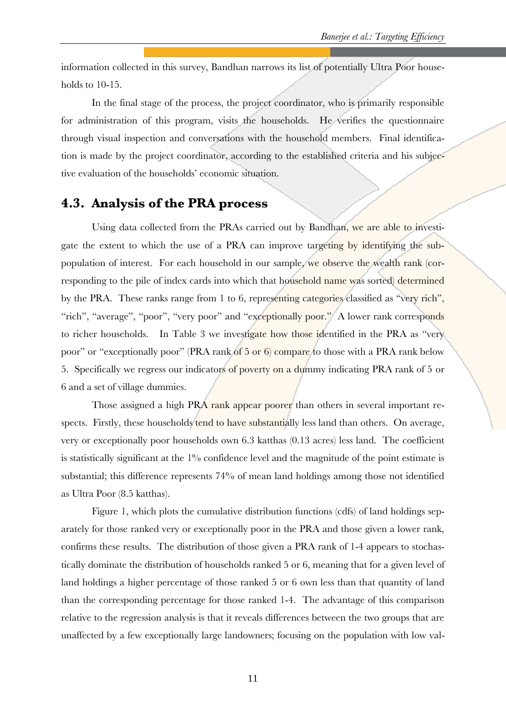information collected in this survey, Bandhan narrows its list of potentially Ultra Poor households to 10-15.

In the final stage of the process, the project coordinator, who is primarily responsible for administration of this program, visits the households. He verifies the questionnaire through visual inspection and conversations with the household members. Final identification is made by the project coordinator, according to the established criteria and his subjective evaluation of the households' economic situation.

### **4.3. Analysis of the PRA process**

Using data collected from the PRAs carried out by Bandhan, we are able to investigate the extent to which the use of a PRA can improve targeting by identifying the subpopulation of interest. For each household in our sample, we observe the wealth rank (corresponding to the pile of index cards into which that household name was sorted) determined by the PRA. These ranks range from 1 to 6, representing categories classified as "very rich", "rich", "average", "poor", "very poor" and "exceptionally poor." A lower rank corresponds to richer households. In Table 3 we investigate how those identified in the PRA as "very poor" or "exceptionally poor" (PRA rank of 5 or 6) compare to those with a PRA rank below 5. Specifically we regress our indicators of poverty on a dummy indicating PRA rank of 5 or 6 and a set of village dummies.

Those assigned a high PRA rank appear poorer than others in several important respects. Firstly, these households tend to have substantially less land than others. On average, very or exceptionally poor households own 6.3 katthas (0.13 acres) less land. The coefficient is statistically significant at the 1% confidence level and the magnitude of the point estimate is substantial; this difference represents 74% of mean land holdings among those not identified as Ultra Poor (8.5 katthas).

Figure 1, which plots the cumulative distribution functions (cdfs) of land holdings separately for those ranked very or exceptionally poor in the PRA and those given a lower rank, confirms these results. The distribution of those given a PRA rank of 1-4 appears to stochastically dominate the distribution of households ranked 5 or 6, meaning that for a given level of land holdings a higher percentage of those ranked 5 or 6 own less than that quantity of land than the corresponding percentage for those ranked 1-4. The advantage of this comparison relative to the regression analysis is that it reveals differences between the two groups that are unaffected by a few exceptionally large landowners; focusing on the population with low val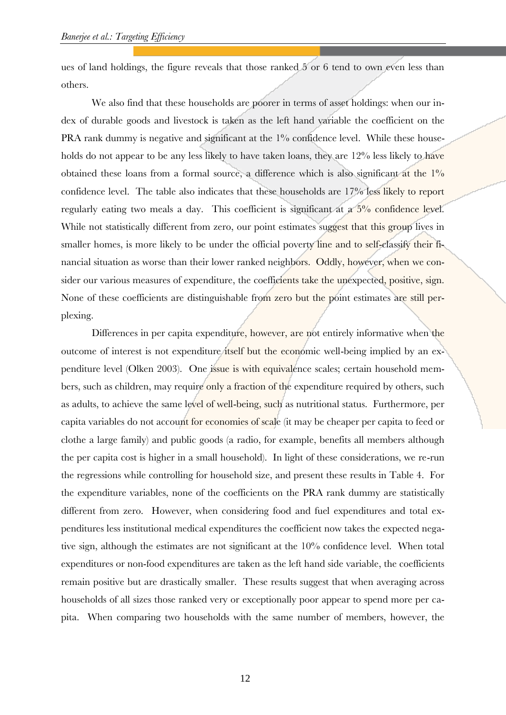ues of land holdings, the figure reveals that those ranked 5 or 6 tend to own even less than others.

We also find that these households are poorer in terms of asset holdings: when our index of durable goods and livestock is taken as the left hand variable the coefficient on the PRA rank dummy is negative and significant at the 1% confidence level. While these households do not appear to be any less likely to have taken loans, they are 12% less likely to have obtained these loans from a formal source, a difference which is also significant at the 1% confidence level. The table also indicates that these households are 17% less likely to report regularly eating two meals a day. This coefficient is significant at a  $5\%$  confidence level. While not statistically different from zero, our point estimates suggest that this group lives in smaller homes, is more likely to be under the official poverty line and to self-classify their financial situation as worse than their lower ranked neighbors. Oddly, however, when we consider our various measures of expenditure, the coefficients take the unexpected, positive, sign. None of these coefficients are distinguishable from zero but the point estimates are still perplexing.

Differences in per capita expenditure, however, are not entirely informative when the outcome of interest is not expenditure itself but the economic well-being implied by an expenditure level (Olken 2003). One issue is with equivalence scales; certain household members, such as children, may require only a fraction of the expenditure required by others, such as adults, to achieve the same level of well-being, such as nutritional status. Furthermore, per capita variables do not account for economies of scale (it may be cheaper per capita to feed or clothe a large family) and public goods (a radio, for example, benefits all members although the per capita cost is higher in a small household). In light of these considerations, we re-run the regressions while controlling for household size, and present these results in Table 4. For the expenditure variables, none of the coefficients on the PRA rank dummy are statistically different from zero. However, when considering food and fuel expenditures and total expenditures less institutional medical expenditures the coefficient now takes the expected negative sign, although the estimates are not significant at the 10% confidence level. When total expenditures or non-food expenditures are taken as the left hand side variable, the coefficients remain positive but are drastically smaller. These results suggest that when averaging across households of all sizes those ranked very or exceptionally poor appear to spend more per capita. When comparing two households with the same number of members, however, the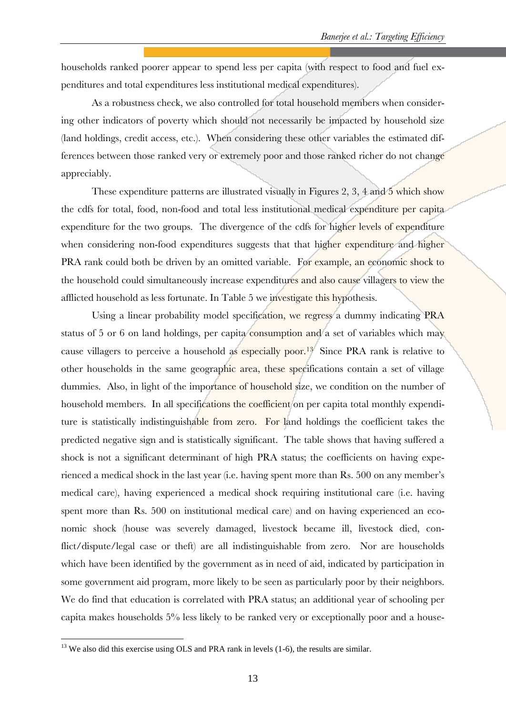households ranked poorer appear to spend less per capita (with respect to food and fuel expenditures and total expenditures less institutional medical expenditures).

As a robustness check, we also controlled for total household members when considering other indicators of poverty which should not necessarily be impacted by household size (land holdings, credit access, etc.). When considering these other variables the estimated differences between those ranked very or extremely poor and those ranked richer do not change appreciably.

These expenditure patterns are illustrated visually in Figures 2, 3, 4 and 5 which show the cdfs for total, food, non-food and total less institutional medical expenditure per capita expenditure for the two groups. The divergence of the cdfs for higher levels of expenditure when considering non-food expenditures suggests that that higher expenditure and higher PRA rank could both be driven by an omitted variable. For example, an economic shock to the household could simultaneously increase expenditures and also cause villagers to view the afflicted household as less fortunate. In Table 5 we investigate this hypothesis.

Using a linear probability model specification, we regress a dummy indicating **PRA** status of 5 or 6 on land holdings, per capita consumption and a set of variables which may cause villagers to perceive a household as especially poor.13 Since PRA rank is relative to other households in the same geographic area, these specifications contain a set of village dummies. Also, in light of the importance of household size, we condition on the number of household members. In all specifications the coefficient on per capita total monthly expenditure is statistically indistinguishable from zero. For land holdings the coefficient takes the predicted negative sign and is statistically significant. The table shows that having suffered a shock is not a significant determinant of high PRA status; the coefficients on having experienced a medical shock in the last year (i.e. having spent more than Rs. 500 on any member's medical care), having experienced a medical shock requiring institutional care (i.e. having spent more than Rs. 500 on institutional medical care) and on having experienced an economic shock (house was severely damaged, livestock became ill, livestock died, conflict/dispute/legal case or theft) are all indistinguishable from zero. Nor are households which have been identified by the government as in need of aid, indicated by participation in some government aid program, more likely to be seen as particularly poor by their neighbors. We do find that education is correlated with PRA status; an additional year of schooling per capita makes households 5% less likely to be ranked very or exceptionally poor and a house-

1

 $13$  We also did this exercise using OLS and PRA rank in levels (1-6), the results are similar.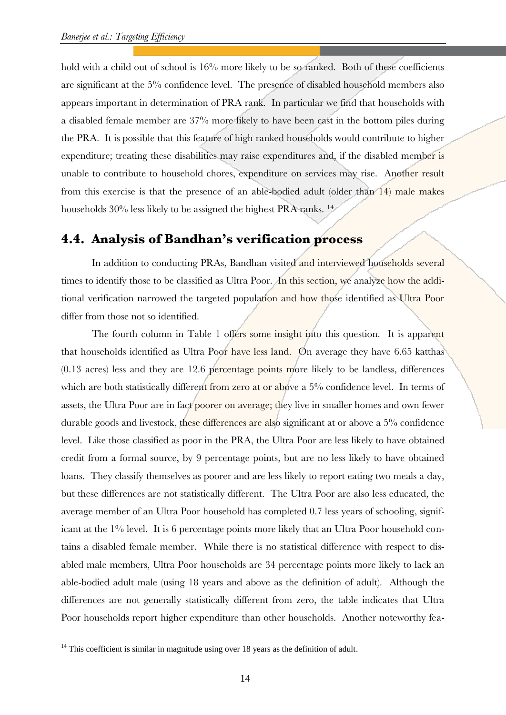hold with a child out of school is 16% more likely to be so ranked. Both of these coefficients are significant at the 5% confidence level. The presence of disabled household members also appears important in determination of PRA rank. In particular we find that households with a disabled female member are 37% more likely to have been cast in the bottom piles during the PRA. It is possible that this feature of high ranked households would contribute to higher expenditure; treating these disabilities may raise expenditures and, if the disabled member is unable to contribute to household chores, expenditure on services may rise. Another result from this exercise is that the presence of an able-bodied adult (older than 14) male makes households 30% less likely to be assigned the highest PRA ranks. <sup>14</sup>

### **4.4. Analysis of Bandhan's verification process**

In addition to conducting PRAs, Bandhan visited and interviewed households several times to identify those to be classified as Ultra Poor. In this section, we analyze how the additional verification narrowed the targeted population and how those identified as Ultra Poor differ from those not so identified.

The fourth column in Table 1 offers some insight into this question. It is apparent that households identified as Ultra Poor have less land. On average they have 6.65 katthas  $(0.13 \text{ acres})$  less and they are 12.6 percentage points more likely to be landless, differences which are both statistically different from zero at or above a 5% confidence level. In terms of assets, the Ultra Poor are in fact poorer on average; they live in smaller homes and own fewer durable goods and livestock, these differences are also significant at or above a 5% confidence level. Like those classified as poor in the PRA, the Ultra Poor are less likely to have obtained credit from a formal source, by 9 percentage points, but are no less likely to have obtained loans. They classify themselves as poorer and are less likely to report eating two meals a day, but these differences are not statistically different. The Ultra Poor are also less educated, the average member of an Ultra Poor household has completed 0.7 less years of schooling, significant at the 1% level. It is 6 percentage points more likely that an Ultra Poor household contains a disabled female member. While there is no statistical difference with respect to disabled male members, Ultra Poor households are 34 percentage points more likely to lack an able-bodied adult male (using 18 years and above as the definition of adult). Although the differences are not generally statistically different from zero, the table indicates that Ultra Poor households report higher expenditure than other households. Another noteworthy fea-

1

 $14$  This coefficient is similar in magnitude using over 18 years as the definition of adult.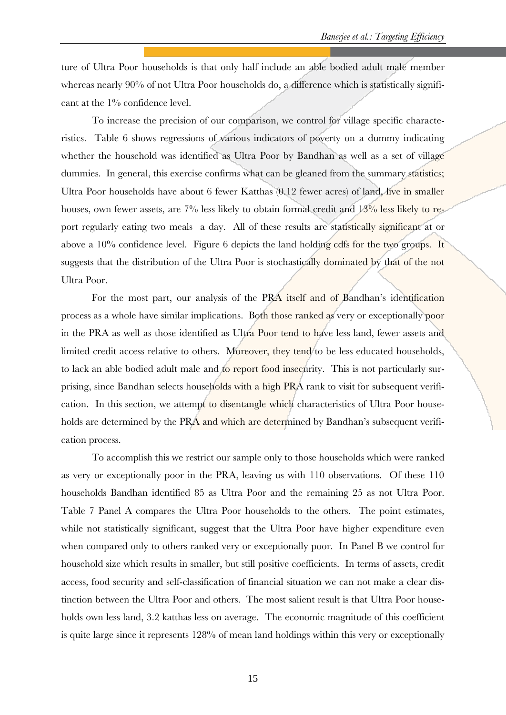ture of Ultra Poor households is that only half include an able bodied adult male member whereas nearly 90% of not Ultra Poor households do, a difference which is statistically significant at the 1% confidence level.

To increase the precision of our comparison, we control for village specific characteristics. Table 6 shows regressions of various indicators of poverty on a dummy indicating whether the household was identified as Ultra Poor by Bandhan as well as a set of village dummies. In general, this exercise confirms what can be gleaned from the summary statistics; Ultra Poor households have about 6 fewer Katthas (0.12 fewer acres) of land, live in smaller houses, own fewer assets, are 7% less likely to obtain formal credit and 13% less likely to report regularly eating two meals a day. All of these results are statistically significant at or above a 10% confidence level. Figure 6 depicts the land holding cdfs for the two groups. It suggests that the distribution of the Ultra Poor is stochastically dominated by that of the not Ultra Poor.

For the most part, our analysis of the PRA itself and of Bandhan's identification process as a whole have similar implications. Both those ranked as very or exceptionally poor in the PRA as well as those identified as Ultra Poor tend to have less land, fewer assets and limited credit access relative to others. Moreover, they tend to be less educated households, to lack an able bodied adult male and to report food insecurity. This is not particularly surprising, since Bandhan selects households with a high PRA rank to visit for subsequent verification. In this section, we attempt to disentangle which characteristics of Ultra Poor households are determined by the PRA and which are determined by Bandhan's subsequent verification process.

To accomplish this we restrict our sample only to those households which were ranked as very or exceptionally poor in the PRA, leaving us with 110 observations. Of these 110 households Bandhan identified 85 as Ultra Poor and the remaining 25 as not Ultra Poor. Table 7 Panel A compares the Ultra Poor households to the others. The point estimates, while not statistically significant, suggest that the Ultra Poor have higher expenditure even when compared only to others ranked very or exceptionally poor. In Panel B we control for household size which results in smaller, but still positive coefficients. In terms of assets, credit access, food security and self-classification of financial situation we can not make a clear distinction between the Ultra Poor and others. The most salient result is that Ultra Poor households own less land, 3.2 katthas less on average. The economic magnitude of this coefficient is quite large since it represents 128% of mean land holdings within this very or exceptionally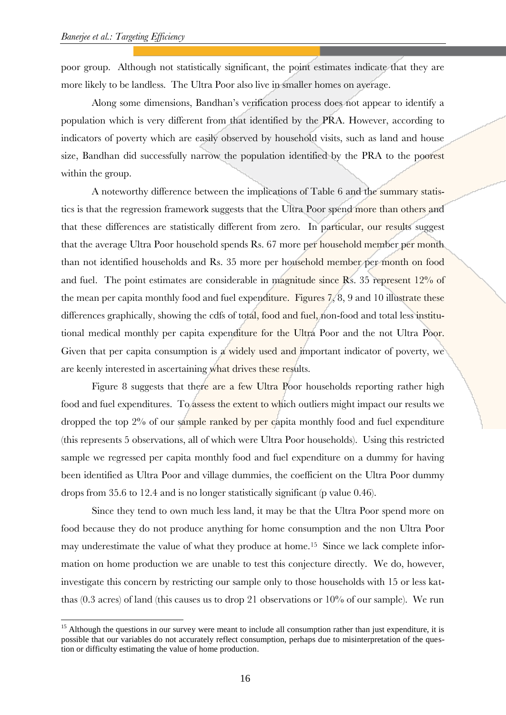1

poor group. Although not statistically significant, the point estimates indicate that they are more likely to be landless. The Ultra Poor also live in smaller homes on average.

Along some dimensions, Bandhan's verification process does not appear to identify a population which is very different from that identified by the PRA. However, according to indicators of poverty which are easily observed by household visits, such as land and house size, Bandhan did successfully narrow the population identified by the PRA to the poorest within the group.

A noteworthy difference between the implications of Table 6 and the summary statistics is that the regression framework suggests that the Ultra Poor spend more than others and that these differences are statistically different from zero. In particular, our results suggest that the average Ultra Poor household spends Rs. 67 more per household member per month than not identified households and Rs. 35 more per household member per month on food and fuel. The point estimates are considerable in magnitude since Rs. 35 represent 12% of the mean per capita monthly food and fuel expenditure. Figures 7, 8, 9 and 10 illustrate these differences graphically, showing the cdfs of total, food and fuel, non-food and total less institutional medical monthly per capita expenditure for the Ultra Poor and the not Ultra Poor. Given that per capita consumption is a widely used and important indicator of poverty, we are keenly interested in ascertaining what drives these results.

Figure 8 suggests that there are a few Ultra Poor households reporting rather high food and fuel expenditures. To assess the extent to which outliers might impact our results we dropped the top 2% of our sample ranked by per capita monthly food and fuel expenditure (this represents 5 observations, all of which were Ultra Poor households). Using this restricted sample we regressed per capita monthly food and fuel expenditure on a dummy for having been identified as Ultra Poor and village dummies, the coefficient on the Ultra Poor dummy drops from 35.6 to 12.4 and is no longer statistically significant (p value 0.46).

Since they tend to own much less land, it may be that the Ultra Poor spend more on food because they do not produce anything for home consumption and the non Ultra Poor may underestimate the value of what they produce at home.15 Since we lack complete information on home production we are unable to test this conjecture directly. We do, however, investigate this concern by restricting our sample only to those households with 15 or less katthas (0.3 acres) of land (this causes us to drop 21 observations or 10% of our sample). We run

<sup>&</sup>lt;sup>15</sup> Although the questions in our survey were meant to include all consumption rather than just expenditure, it is possible that our variables do not accurately reflect consumption, perhaps due to misinterpretation of the question or difficulty estimating the value of home production.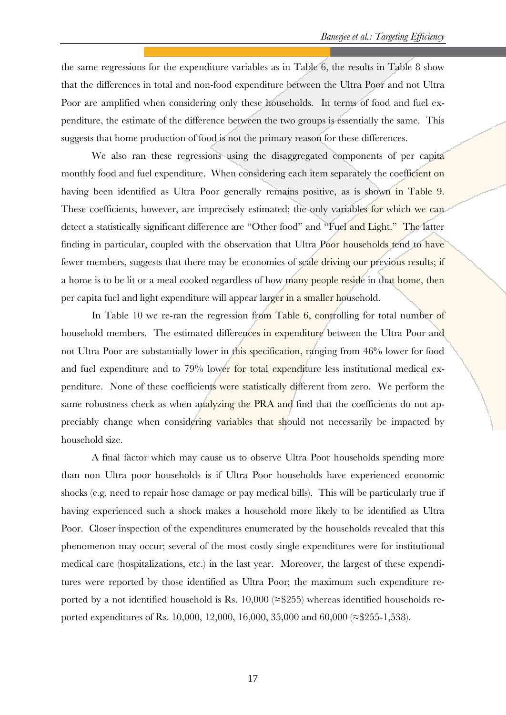the same regressions for the expenditure variables as in Table 6, the results in Table 8 show that the differences in total and non-food expenditure between the Ultra Poor and not Ultra Poor are amplified when considering only these households. In terms of food and fuel expenditure, the estimate of the difference between the two groups is essentially the same. This suggests that home production of food is not the primary reason for these differences.

We also ran these regressions using the disaggregated components of per capita monthly food and fuel expenditure. When considering each item separately the coefficient on having been identified as Ultra Poor generally remains positive, as is shown in Table 9. These coefficients, however, are imprecisely estimated; the only variables for which we can detect a statistically significant difference are "Other food" and "Fuel and Light." The latter finding in particular, coupled with the observation that Ultra Poor households tend to have fewer members, suggests that there may be economies of scale driving our previous results; if a home is to be lit or a meal cooked regardless of how many people reside in that home, then per capita fuel and light expenditure will appear larger in a smaller household.

In Table 10 we re-ran the regression from Table 6, controlling for total number of household members. The estimated differences in expenditure between the Ultra Poor and not Ultra Poor are substantially lower in this specification, ranging from 46% lower for food and fuel expenditure and to 79% lower for total expenditure less institutional medical expenditure. None of these coefficients were statistically different from zero. We perform the same robustness check as when analyzing the PRA and find that the coefficients do not appreciably change when considering variables that should not necessarily be impacted by household size.

A final factor which may cause us to observe Ultra Poor households spending more than non Ultra poor households is if Ultra Poor households have experienced economic shocks (e.g. need to repair hose damage or pay medical bills). This will be particularly true if having experienced such a shock makes a household more likely to be identified as Ultra Poor. Closer inspection of the expenditures enumerated by the households revealed that this phenomenon may occur; several of the most costly single expenditures were for institutional medical care (hospitalizations, etc.) in the last year. Moreover, the largest of these expenditures were reported by those identified as Ultra Poor; the maximum such expenditure reported by a not identified household is Rs. 10,000 (≈\$255) whereas identified households reported expenditures of Rs. 10,000, 12,000, 16,000, 35,000 and 60,000 (≈\$255-1,538).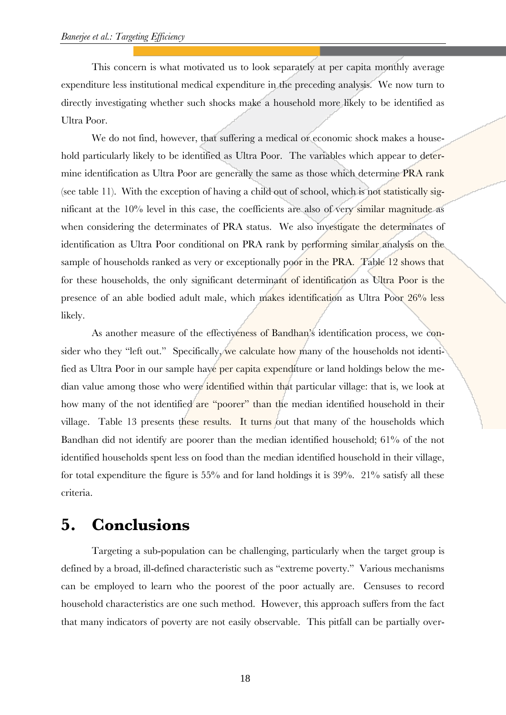This concern is what motivated us to look separately at per capita monthly average expenditure less institutional medical expenditure in the preceding analysis. We now turn to directly investigating whether such shocks make a household more likely to be identified as Ultra Poor.

We do not find, however, that suffering a medical or economic shock makes a household particularly likely to be identified as Ultra Poor. The variables which appear to determine identification as Ultra Poor are generally the same as those which determine PRA rank (see table 11). With the exception of having a child out of school, which is not statistically significant at the 10% level in this case, the coefficients are also of very similar magnitude as when considering the determinates of PRA status. We also investigate the determinates of identification as Ultra Poor conditional on PRA rank by performing similar analysis on the sample of households ranked as very or exceptionally poor in the PRA. Table 12 shows that for these households, the only significant determinant of identification as Ultra Poor is the presence of an able bodied adult male, which makes identification as Ultra Poor 26% less likely.

As another measure of the effectiveness of Bandhan's identification process, we consider who they "left out." Specifically, we calculate how many of the households not identified as Ultra Poor in our sample have per capita expenditure or land holdings below the median value among those who were identified within that particular village: that is, we look at how many of the not identified are "poorer" than the median identified household in their village. Table 13 presents these results. It turns out that many of the households which Bandhan did not identify are poorer than the median identified household; 61% of the not identified households spent less on food than the median identified household in their village, for total expenditure the figure is 55% and for land holdings it is 39%. 21% satisfy all these criteria.

## **5. Conclusions**

Targeting a sub-population can be challenging, particularly when the target group is defined by a broad, ill-defined characteristic such as "extreme poverty." Various mechanisms can be employed to learn who the poorest of the poor actually are. Censuses to record household characteristics are one such method. However, this approach suffers from the fact that many indicators of poverty are not easily observable. This pitfall can be partially over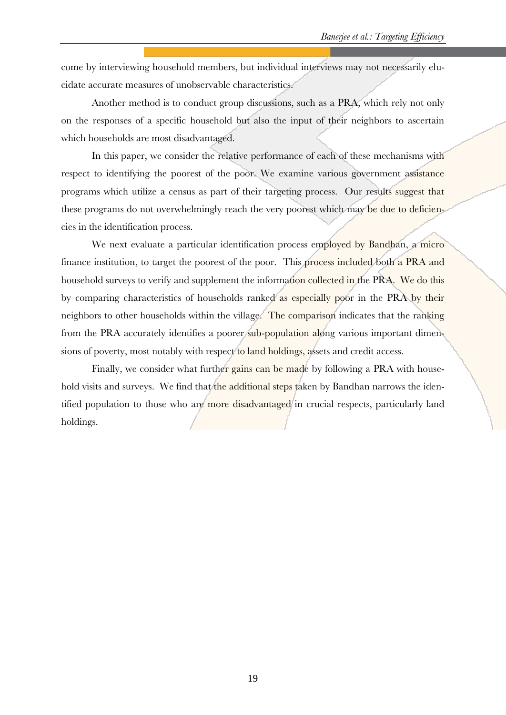come by interviewing household members, but individual interviews may not necessarily elucidate accurate measures of unobservable characteristics.

Another method is to conduct group discussions, such as a PRA, which rely not only on the responses of a specific household but also the input of their neighbors to ascertain which households are most disadvantaged.

In this paper, we consider the relative performance of each of these mechanisms with respect to identifying the poorest of the poor. We examine various government assistance programs which utilize a census as part of their targeting process. Our results suggest that these programs do not overwhelmingly reach the very poorest which may be due to deficiencies in the identification process.

We next evaluate a particular identification process employed by Bandhan, a micro finance institution, to target the poorest of the poor. This process included both a PRA and household surveys to verify and supplement the information collected in the PRA. We do this by comparing characteristics of households ranked as especially poor in the PRA by their neighbors to other households within the village. The comparison indicates that the ranking from the PRA accurately identifies a poorer sub-population along various important dimensions of poverty, most notably with respect to land holdings, assets and credit access.

Finally, we consider what further gains can be made by following a PRA with household visits and surveys. We find that the additional steps taken by Bandhan narrows the identified population to those who are more disadvantaged in crucial respects, particularly land holdings.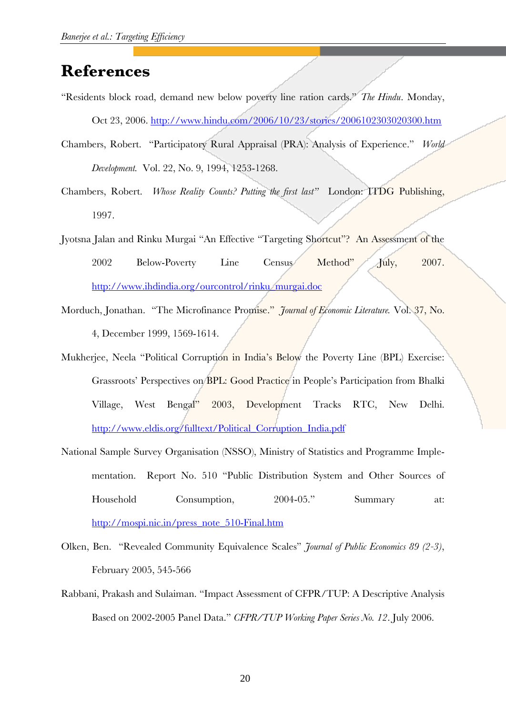## **References**

- "Residents block road, demand new below poverty line ration cards." *The Hindu*. Monday, Oct 23, 2006.<http://www.hindu.com/2006/10/23/stories/2006102303020300.htm>
- Chambers, Robert. "Participatory Rural Appraisal (PRA): Analysis of Experience." *World Development.* Vol. 22, No. 9, 1994, 1253-1268.
- Chambers, Robert. *Whose Reality Counts? Putting the first last"* London: ITDG Publishing, 1997.
- Jyotsna Jalan and Rinku Murgai "An Effective "Targeting Shortcut"? An Assessment of the 2002 Below-Poverty Line Census Method" July, 2007. [http://www.ihdindia.org/ourcontrol/rinku\\_murgai.doc](http://www.ihdindia.org/ourcontrol/rinku_murgai.doc)
- Morduch, Jonathan. "The Microfinance Promise." *Journal of Economic Literature.* Vol. 37, No. 4, December 1999, 1569-1614.
- Mukherjee, Neela "Political Corruption in India's Below the Poverty Line (BPL) Exercise: Grassroots' Perspectives on BPL: Good Practice in People's Participation from Bhalki Village, West Bengal" 2003, Development Tracks RTC, New Delhi. [http://www.eldis.org/fulltext/Political\\_Corruption\\_India.pdf](http://www.eldis.org/fulltext/Political_Corruption_India.pdf)
- National Sample Survey Organisation (NSSO), Ministry of Statistics and Programme Implementation. Report No. 510 "Public Distribution System and Other Sources of Household Consumption, 2004-05." Summary at: [http://mospi.nic.in/press\\_note\\_510-Final.htm](http://mospi.nic.in/press_note_510-Final.htm)
- Olken, Ben. "Revealed Community Equivalence Scales" *Journal of Public Economics 89 (2-3)*, February 2005, 545-566
- Rabbani, Prakash and Sulaiman. "Impact Assessment of CFPR/TUP: A Descriptive Analysis Based on 2002-2005 Panel Data." *CFPR/TUP Working Paper Series No. 12*. July 2006.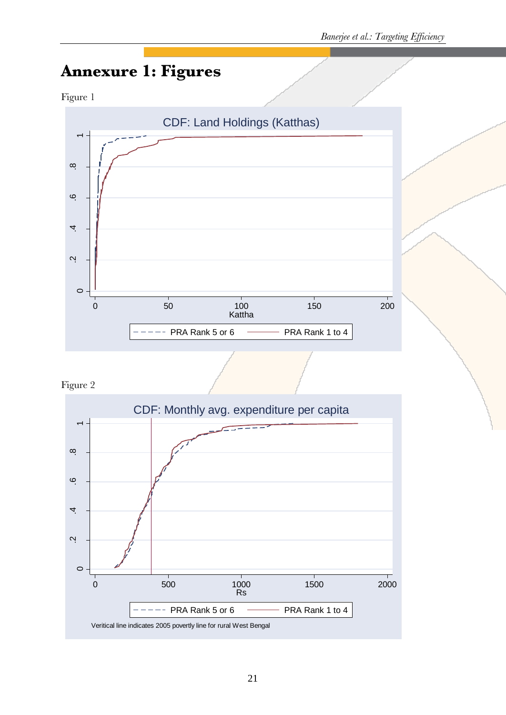# **Annexure 1: Figures**

#### Figure 1





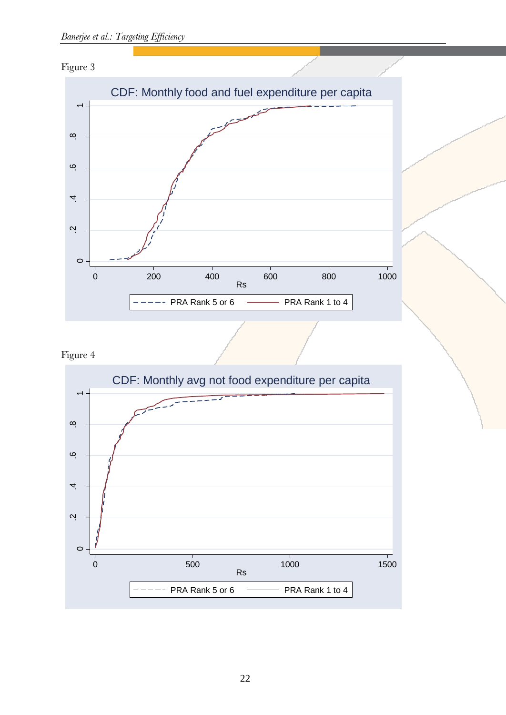Figure 3



Figure 4

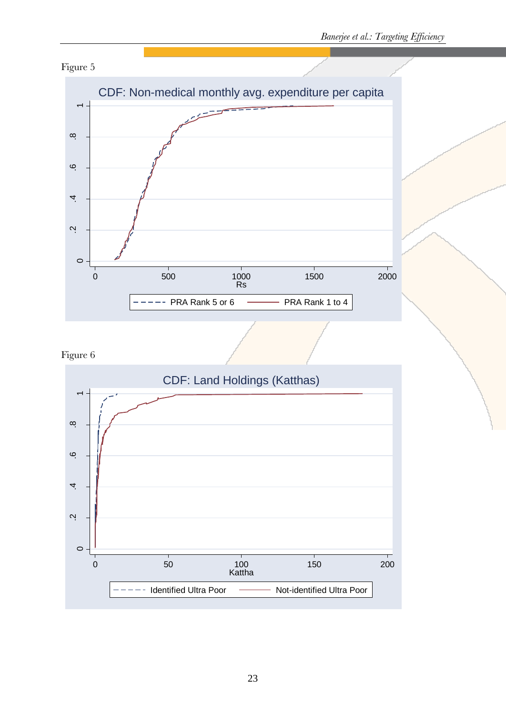





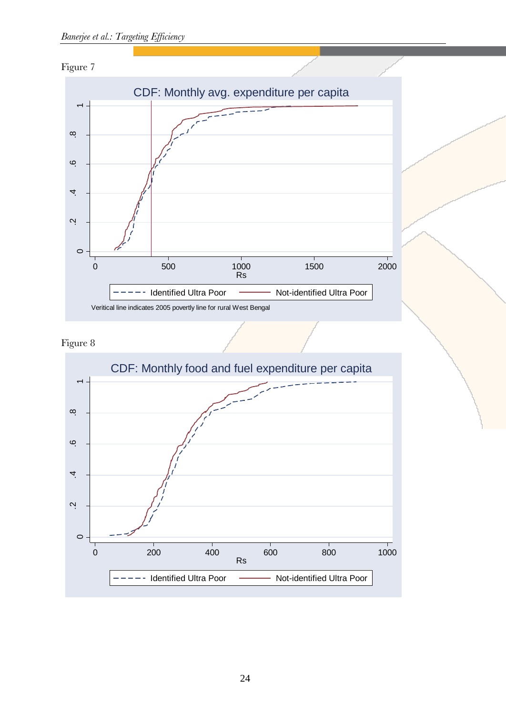





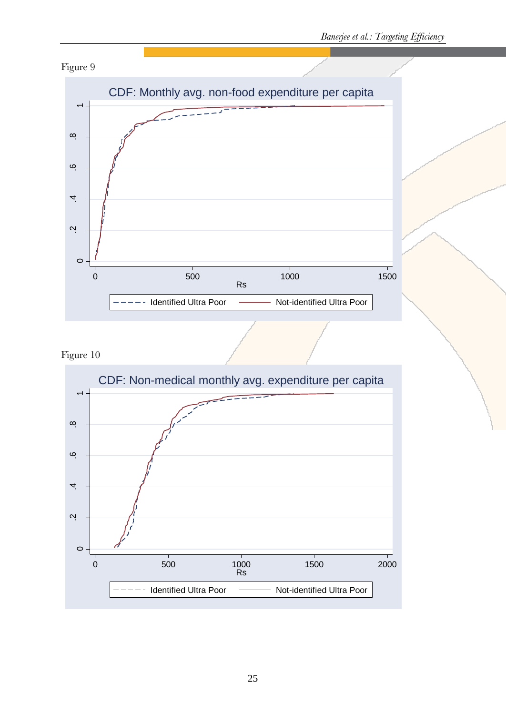



Figure 10

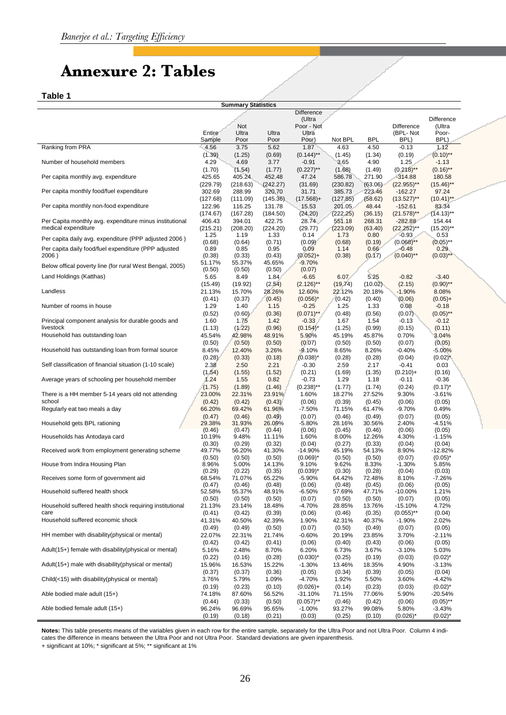## **Annexure 2: Tables**

### **Table 1**

|                                                          |                  | <b>Summary Statistics</b> |                  |                         |                  |                  |                          |                         |
|----------------------------------------------------------|------------------|---------------------------|------------------|-------------------------|------------------|------------------|--------------------------|-------------------------|
|                                                          |                  |                           |                  | Difference              |                  |                  |                          |                         |
|                                                          |                  |                           |                  | (Ultra                  |                  |                  |                          | Difference              |
|                                                          |                  | Not                       |                  | Poor - Not              |                  |                  | <b>Difference</b>        | (Ultra                  |
|                                                          | Entire           | Ultra                     | Ultra            | Ultra                   |                  |                  | (BPL-Not                 | Poor-                   |
|                                                          | Sample           | Poor                      | Poor             | Poor)                   | Not BPL          | BPL              | BPL)                     | BPL)                    |
| Ranking from PRA                                         | 4.56             | 3.75                      | 5.62             | 1.87                    | 4.63             | 4.50             | $-0.13$                  | 1.12                    |
|                                                          | (1.39)           | (1.25)                    | (0.69)           | $(0.144)$ **            | (1.45)           | (1.34)           | (0.19)                   | $(0.10)$ **             |
| Number of household members                              | 4.29             | 4.69                      | 3.77             | $-0.91$                 | 3.65             | 4.90             | 1.25                     | $-1.13$                 |
|                                                          | (1.70)           | (1.54)                    | (1.77)           | $(0.227)$ **            | (1.68)           | (1.49)           | $(0.218)$ **             | $(0.16)$ **             |
| Per capita monthly avg. expenditure                      | 425.65           | 405.24                    | 452.48           | 47.24                   | 586.78           | 271.90           | $-314.88$                | 180.58                  |
|                                                          | (229.79)         | (218.63)                  | (242.27)         | (31.69)                 | (230.82)         | (63.06)          | $(22.955)$ <sup>**</sup> | $(15.46)$ <sup>**</sup> |
| Per capita monthly food/fuel expenditure                 | 302.69           | 288.99                    | 320.70           | 31.71                   | 385.73           | 223.46           | $-162.27$                | 97.24                   |
|                                                          | (127.68)         | (111.09)                  | (145.36)         | $(17.568)+$             | (127.85)         | (58.62)          | $(13.527)$ **            | $(10.41)$ <sup>**</sup> |
| Per capita monthly non-food expenditure                  | 122.96           | 116.25                    | 131.78           | 15.53                   | 201.05           | 48.44            | $-152.61$                | 83.34                   |
|                                                          | (174.67)         | (167.28)                  | (184.50)         | (24.20)                 | (222.25)         | (36.15)          | $(21.578)$ **            | $(14.13)$ <sup>**</sup> |
| Per Capita monthly avg. expenditure minus institutional  | 406.43           | 394.01                    | 422.75           | 28.74                   | 551.18           | 268.31           | $-282.88$                | 154.44                  |
| medical expenditure                                      | (215.21)<br>1.25 | (208.20)<br>1.19          | (224.20)<br>1.33 | (29.77)<br>0.14         | (223.09)<br>1.73 | (63.40)<br>0.80  | $(22.252)$ **            | $(15.20)$ <sup>**</sup> |
| Per capita daily avg. expenditure (PPP adjusted 2006)    | (0.68)           | (0.64)                    | (0.71)           | (0.09)                  | (0.68)           | (0.19)           | $-0.93$<br>$(0.068)$ **  | 0.53<br>$(0.05)$ **     |
| Per capita daily food/fuel expenditure (PPP adjusted     | 0.89             | 0.85                      | 0.95             | 0.09                    | 1.14             | 0.66             | $-0.48$                  | 0.29                    |
| 2006)                                                    | (0.38)           | (0.33)                    | (0.43)           | $(0.052)+$              | (0.38)           | (0.17)           | $(0.040)$ <sup>**</sup>  | $(0.03)$ **             |
|                                                          | 51.17%           | 55.37%                    | 45.65%           | $-9.70%$                |                  |                  |                          |                         |
| Below offical poverty line (for rural West Bengal, 2005) | (0.50)           | (0.50)                    | (0.50)           | (0.07)                  |                  |                  |                          |                         |
| Land Holdings (Katthas)                                  | 5.65             | 8.49                      | 1.84             | $-6.65$                 | 6.07             | 5.25             | $-0.82$                  | $-3.40$                 |
|                                                          | (15.49)          | (19.92)                   | (2.54)           | $(2.126)$ <sup>**</sup> | (19.74)          | (10.02)          | (2.15)                   | $(0.90)$ **             |
| Landless                                                 | 21.13%           | 15.70%                    | 28.26%           | 12.60%                  | 22.12%           | 20.18%           | $-1.90%$                 | 8.08%                   |
|                                                          | (0.41)           | (0.37)                    | (0.45)           | $(0.056)^*$             | (0.42)           | (0.40)           | (0.06)                   | $(0.05) +$              |
| Number of rooms in house                                 | 1.29             | 1.40                      | 1.15             | $-0.25$                 | 1.25             | 1.33             | 0.08                     | $-0.18$                 |
|                                                          | (0.52)           | (0.60)                    | (0.36)           | $(0.071)$ **            | (0.48)           | (0.56)           | (0.07)                   | $(0.05)$ **             |
| Principal component analysis for durable goods and       | 1.60             | 1.75                      | 1.42             | $-0.33$                 | 1.67             | 1.54             | $-0.13$                  | $-0.12$                 |
| livestock                                                | (1.13)           | (1.22)                    | (0.96)           | $(0.154)^*$             | (1.25)           | (0.99)           | (0.15)                   | (0.11)                  |
| Household has outstanding loan                           | 45.54%           | 42.98%                    | 48.91%           | 5.90%                   | 45.19%           | 45.87%           | 0.70%                    | 3.04%                   |
|                                                          | (0.50)           | (0.50)                    | (0.50)           | (0.07)                  | (0.50)           | (0.50)           | (0.07)                   | (0.05)                  |
| Household has outstanding loan from formal source        | 8.45%            | 12.40%                    | 3.26%            | $-9.10%$                | 8.65%            | 8.26%            | $-0.40%$                 | $-5.00%$                |
|                                                          | (0.28)           | (0.33)                    | (0.18)           | $(0.038)^{*}$           | (0.28)           | (0.28)           | (0.04)                   | $(0.02)^*$              |
| Self classification of financial situation (1-10 scale)  | 2.38             | 2.50                      | 2.21             | $-0.30$                 | 2.59             | 2.17             | $-0.41$                  | 0.03                    |
|                                                          | (1.54)           | (1.55)                    | (1.52)           | (0.21)                  | (1.69)           | (1.35)           | $(0.210)+$               | (0.16)                  |
| Average years of schooling per household member          | 1.24             | 1.55                      | 0.82             | $-0.73$                 | 1.29             | 1.18             | $-0.11$                  | $-0.36$                 |
|                                                          | (1.75)           | (1.89)                    | (1.46)           | $(0.238)$ **            | (1.77)           | (1.74)           | (0.24)                   | $(0.17)^*$              |
| There is a HH member 5-14 years old not attending        | 23.00%           | 22.31%                    | 23.91%           | 1.60%                   | 18.27%           | 27.52%           | 9.30%                    | $-3.61%$                |
| school                                                   | (0.42)           | (0.42)                    | (0.43)           | (0.06)                  | (0.39)           | (0.45)           | (0.06)                   | (0.05)                  |
| Regularly eat two meals a day                            | 66.20%           | 69.42%                    | 61.96%           | $-7.50%$                | 71.15%           | 61.47%           | $-9.70%$                 | 0.49%                   |
|                                                          | (0.47)<br>29.38% | (0.46)                    | (0.49)           | (0.07)                  | (0.46)<br>28.16% | (0.49)           | (0.07)                   | (0.05)                  |
| Household gets BPL rationing                             | (0.46)           | 31.93%<br>(0.47)          | 26.09%<br>(0.44) | $-5.80%$<br>(0.06)      | (0.45)           | 30.56%<br>(0.46) | 2.40%<br>(0.06)          | $-4.51%$<br>(0.05)      |
| Households has Antodaya card                             | 10.19%           | 9.48%                     | 11.11%           | 1.60%                   | 8.00%            | 12.26%           | 4.30%                    | $-1.15%$                |
|                                                          | (0.30)           | (0.29)                    | (0.32)           | (0.04)                  | (0.27)           | (0.33)           | (0.04)                   | (0.04)                  |
| Received work from employment generating scheme          | 49.77%           | 56.20%                    | 41.30%           | $-14.90%$               | 45.19%           | 54.13%           | 8.90%                    | $-12.82%$               |
|                                                          | (0.50)           | (0.50)                    | (0.50)           | $(0.069)^*$             | (0.50)           | (0.50)           | (0.07)                   | $(0.05)^*$              |
| House from Indira Housing Plan                           | 8.96%            | 5.00%                     | 14.13%           | 9.10%                   | 9.62%            | 8.33%            | $-1.30%$                 | 5.85%                   |
|                                                          | (0.29)           | (0.22)                    | (0.35)           | $(0.039)^{*}$           | (0.30)           | (0.28)           | (0.04)                   | (0.03)                  |
| Receives some form of government aid                     | 68.54%           | 71.07%                    | 65.22%           | $-5.90%$                | 64.42%           | 72.48%           | 8.10%                    | $-7.26%$                |
| Household suffered health shock                          | (0.47)<br>52.58% | (0.46)<br>55.37%          | (0.48)<br>48.91% | (0.06)<br>$-6.50%$      | (0.48)           | (0.45)<br>47.71% | (0.06)<br>$-10.00%$      | (0.05)<br>1.21%         |
|                                                          | (0.50)           | (0.50)                    | (0.50)           | (0.07)                  | 57.69%<br>(0.50) | (0.50)           | (0.07)                   | (0.05)                  |
| Household suffered health shock requiring institutional  | 21.13%           | 23.14%                    | 18.48%           | $-4.70%$                | 28.85%           | 13.76%           | $-15.10%$                | 4.72%                   |
| care                                                     | (0.41)           | (0.42)                    | (0.39)           | (0.06)                  | (0.46)           | (0.35)           | $(0.055)$ **             | (0.04)                  |
| Household suffered economic shock                        | 41.31%           | 40.50%                    | 42.39%           | 1.90%                   | 42.31%           | 40.37%           | $-1.90%$                 | 2.02%                   |
|                                                          | (0.49)           | (0.49)                    | (0.50)           | (0.07)                  | (0.50)           | (0.49)           | (0.07)                   | (0.05)                  |
| HH member with disability(physical or mental)            | 22.07%           | 22.31%                    | 21.74%           | $-0.60%$                | 20.19%           | 23.85%           | 3.70%                    | $-2.11%$                |
|                                                          | (0.42)           | (0.42)                    | (0.41)           | (0.06)                  | (0.40)           | (0.43)           | (0.06)                   | (0.05)                  |
| Adult(15+) female with disability(physical or mental)    | 5.16%            | 2.48%                     | 8.70%            | 6.20%                   | 6.73%            | 3.67%            | $-3.10%$                 | 5.03%                   |
|                                                          | (0.22)           | (0.16)                    | (0.28)           | $(0.030)^*$             | (0.25)           | (0.19)           | (0.03)                   | $(0.02)^{*}$            |
| Adult(15+) male with disability(physical or mental)      | 15.96%           | 16.53%                    | 15.22%           | $-1.30%$                | 13.46%           | 18.35%           | 4.90%                    | $-3.13%$                |
|                                                          | (0.37)           | (0.37)                    | (0.36)           | (0.05)                  | (0.34)           | (0.39)           | (0.05)                   | (0.04)                  |
| Child(<15) with disability(physical or mental)           | 3.76%            | 5.79%                     | 1.09%            | $-4.70%$                | 1.92%            | 5.50%            | 3.60%                    | $-4.42%$                |
|                                                          | (0.19)           | (0.23)                    | (0.10)           | $(0.026)+$              | (0.14)           | (0.23)           | (0.03)                   | $(0.02)^{*}$            |
| Able bodied male adult (15+)                             | 74.18%           | 87.60%                    | 56.52%           | $-31.10%$               | 71.15%           | 77.06%           | 5.90%                    | $-20.54%$               |
|                                                          | (0.44)           | (0.33)                    | (0.50)           | $(0.057)$ <sup>**</sup> | (0.46)           | (0.42)           | (0.06)                   | $(0.05)$ **             |
| Able bodied female adult (15+)                           | 96.24%           | 96.69%                    | 95.65%           | $-1.00%$                | 93.27%           | 99.08%           | 5.80%                    | $-3.43%$                |
|                                                          | (0.19)           | (0.18)                    | (0.21)           | (0.03)                  | (0.25)           | (0.10)           | $(0.026)^*$              | $(0.02)^{*}$            |

**Notes:** This table presents means of the variables given in each row for the entire sample, separately for the Ultra Poor and not Ultra Poor. Column 4 indicates the difference in means between the Ultra Poor and not Ultra Poor. Standard deviations are given inparenthesis.

+ significant at 10%; \* significant at 5%; \*\* significant at 1%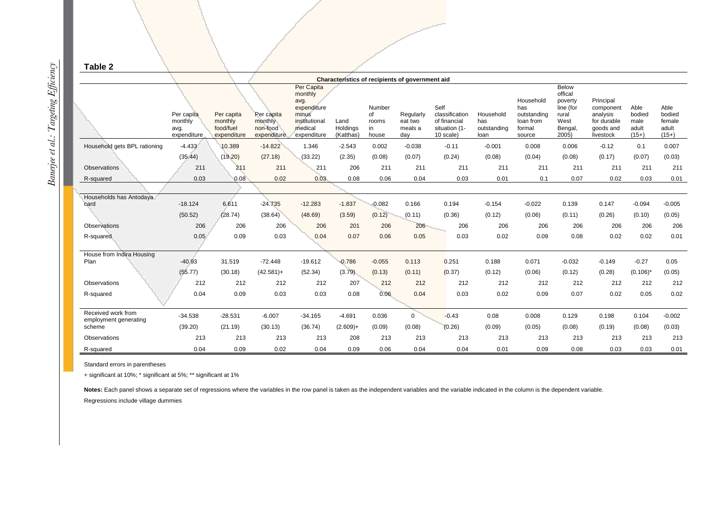|                                             | Characteristics of recipients of government aid |                                                   |                                                  |                                                                                                  |                               |                                      |                                        |                                                                      |                                         |                                                                  |                                                                               |                                                                             |                                            |                                              |
|---------------------------------------------|-------------------------------------------------|---------------------------------------------------|--------------------------------------------------|--------------------------------------------------------------------------------------------------|-------------------------------|--------------------------------------|----------------------------------------|----------------------------------------------------------------------|-----------------------------------------|------------------------------------------------------------------|-------------------------------------------------------------------------------|-----------------------------------------------------------------------------|--------------------------------------------|----------------------------------------------|
|                                             | Per capita<br>monthly<br>avg.<br>expenditure    | Per capita<br>monthly<br>food/fuel<br>expenditure | Per capita<br>monthly<br>non-food<br>expenditure | Per Capita<br>monthly<br>avg.<br>expenditure<br>minus<br>institutional<br>medical<br>expenditure | Land<br>Holdinas<br>(Katthas) | Number<br>of<br>rooms<br>in<br>house | Regularly<br>eat two<br>meals a<br>day | Self<br>classification<br>of financial<br>situation (1-<br>10 scale) | Household<br>has<br>outstanding<br>loan | Household<br>has<br>outstanding<br>loan from<br>formal<br>source | Below<br>offical<br>poverty<br>line (for<br>rural<br>West<br>Bengal,<br>2005) | Principal<br>component<br>analysis<br>for durable<br>goods and<br>livestock | Able<br>bodied<br>male<br>adult<br>$(15+)$ | Able<br>bodied<br>female<br>adult<br>$(15+)$ |
| Household gets BPL rationing                | $-4.433$                                        | 10.389                                            | $-14.822$                                        | 1.346                                                                                            | $-2.543$                      | 0.002                                | $-0.038$                               | $-0.11$                                                              | $-0.001$                                | 0.008                                                            | 0.006                                                                         | $-0.12$                                                                     | 0.1                                        | 0.007                                        |
|                                             | (35.44)                                         | (19.20)                                           | (27.18)                                          | (33.22)                                                                                          | (2.35)                        | (0.08)                               | (0.07)                                 | (0.24)                                                               | (0.08)                                  | (0.04)                                                           | (0.08)                                                                        | (0.17)                                                                      | (0.07)                                     | (0.03)                                       |
| <b>Observations</b>                         | 211                                             | 211                                               | 211                                              | 211                                                                                              | 206                           | 211                                  | 211                                    | 211                                                                  | 211                                     | 211                                                              | 211                                                                           | 211                                                                         | 211                                        | 211                                          |
| R-squared                                   | 0.03                                            | 0.08                                              | 0.02                                             | 0.03                                                                                             | 0.08                          | 0.06                                 | 0.04                                   | 0.03                                                                 | 0.01                                    | 0.1                                                              | 0.07                                                                          | 0.02                                                                        | 0.03                                       | 0.01                                         |
|                                             |                                                 |                                                   |                                                  |                                                                                                  |                               |                                      |                                        |                                                                      |                                         |                                                                  |                                                                               |                                                                             |                                            |                                              |
| Households has Antodaya<br>card             | $-18.124$                                       | 6.611                                             | $-24.735$                                        | $-12.283$                                                                                        | $-1.837$                      | $-0.082$                             | 0.166                                  | 0.194                                                                | $-0.154$                                | $-0.022$                                                         | 0.139                                                                         | 0.147                                                                       | $-0.094$                                   | $-0.005$                                     |
|                                             | (50.52)                                         | (28.74)                                           | (38.64)                                          | (48.69)                                                                                          | (3.59)                        | (0.12)                               | (0.11)                                 | (0.36)                                                               | (0.12)                                  | (0.06)                                                           | (0.11)                                                                        | (0.26)                                                                      | (0.10)                                     | (0.05)                                       |
| <b>Observations</b>                         | 206                                             | 206                                               | 206                                              | 206                                                                                              | 201                           | 206                                  | 206                                    | 206                                                                  | 206                                     | 206                                                              | 206                                                                           | 206                                                                         | 206                                        | 206                                          |
| R-squared                                   | 0.05                                            | 0.09                                              | 0.03                                             | 0.04                                                                                             | 0.07                          | 0.06                                 | 0.05                                   | 0.03                                                                 | 0.02                                    | 0.09                                                             | 0.08                                                                          | 0.02                                                                        | 0.02                                       | 0.01                                         |
| House from Indira Housing<br>Plan           | $-40.93$                                        | 31.519                                            | $-72.448$                                        | $-19.612$                                                                                        | $-0.786$                      | $-0.055$                             | 0.113                                  | 0.251                                                                | 0.188                                   | 0.071                                                            | $-0.032$                                                                      | $-0.149$                                                                    | $-0.27$                                    | 0.05                                         |
|                                             | (55.77)                                         | (30.18)                                           | $(42.581)+$                                      | (52.34)                                                                                          | (3.79)                        | (0.13)                               | (0.11)                                 | (0.37)                                                               | (0.12)                                  | (0.06)                                                           | (0.12)                                                                        | (0.28)                                                                      | $(0.106)^*$                                | (0.05)                                       |
| Observations                                | 212                                             | 212                                               | 212                                              | 212                                                                                              | 207                           | 212                                  | 212                                    | 212                                                                  | 212                                     | 212                                                              | 212                                                                           | 212                                                                         | 212                                        | 212                                          |
| R-squared                                   | 0.04                                            | 0.09                                              | 0.03                                             | 0.03                                                                                             | 0.08                          | 0.06                                 | 0.04                                   | 0.03                                                                 | 0.02                                    | 0.09                                                             | 0.07                                                                          | 0.02                                                                        | 0.05                                       | 0.02                                         |
|                                             |                                                 |                                                   |                                                  |                                                                                                  |                               |                                      |                                        |                                                                      |                                         |                                                                  |                                                                               |                                                                             |                                            |                                              |
| Received work from<br>employment generating | $-34.538$                                       | $-28.531$                                         | $-6.007$                                         | $-34.165$                                                                                        | $-4.691$                      | 0.036                                | $\Omega$                               | $-0.43$                                                              | 0.08                                    | 0.008                                                            | 0.129                                                                         | 0.198                                                                       | 0.104                                      | $-0.002$                                     |
| scheme                                      | (39.20)                                         | (21.19)                                           | (30.13)                                          | (36.74)                                                                                          | $(2.609) +$                   | (0.09)                               | (0.08)                                 | (0.26)                                                               | (0.09)                                  | (0.05)                                                           | (0.08)                                                                        | (0.19)                                                                      | (0.08)                                     | (0.03)                                       |
| Observations                                | 213                                             | 213                                               | 213                                              | 213                                                                                              | 208                           | 213                                  | 213                                    | 213                                                                  | 213                                     | 213                                                              | 213                                                                           | 213                                                                         | 213                                        | 213                                          |
| R-squared                                   | 0.04                                            | 0.09                                              | 0.02                                             | 0.04                                                                                             | 0.09                          | 0.06                                 | 0.04                                   | 0.04                                                                 | 0.01                                    | 0.09                                                             | 0.08                                                                          | 0.03                                                                        | 0.03                                       | 0.01                                         |

Standard errors in parentheses

+ significant at 10%; \* significant at 5%; \*\* significant at 1%

Notes: Each panel shows a separate set of regressions where the variables in the row panel is taken as the independent variables and the variable indicated in the column is the dependent variable.

Regressions include village dummies

٠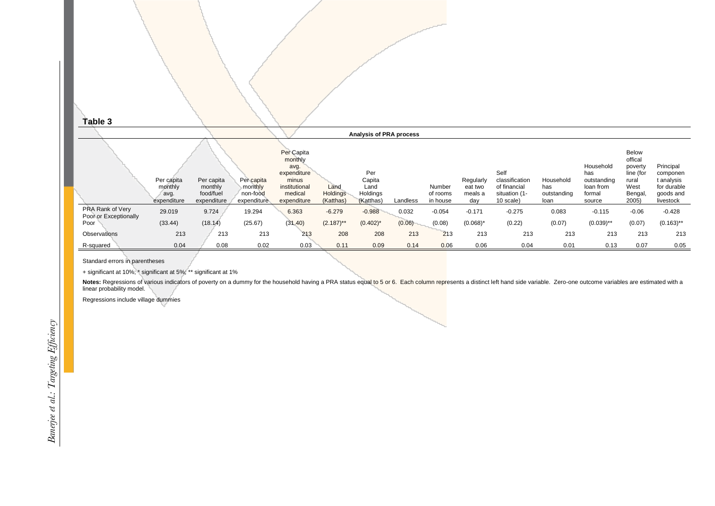| Analysis of PRA process                   |                                              |                                                   |                                                  |                                                                                                  |                                      |                                                |          |                                |                                        |                                                                      |                                         |                                                                  |                                                                                      |                                                                              |
|-------------------------------------------|----------------------------------------------|---------------------------------------------------|--------------------------------------------------|--------------------------------------------------------------------------------------------------|--------------------------------------|------------------------------------------------|----------|--------------------------------|----------------------------------------|----------------------------------------------------------------------|-----------------------------------------|------------------------------------------------------------------|--------------------------------------------------------------------------------------|------------------------------------------------------------------------------|
|                                           | Per capita<br>monthly<br>avg.<br>expenditure | Per capita<br>monthly<br>food/fuel<br>expenditure | Per capita<br>monthly<br>non-food<br>expenditure | Per Capita<br>monthly<br>avg.<br>expenditure<br>minus<br>institutional<br>medical<br>expenditure | Land<br><b>Holdings</b><br>(Katthas) | Per<br>Capita<br>Land<br>Holdings<br>(Katthas) | Landless | Number<br>of rooms<br>in house | Regularly<br>eat two<br>meals a<br>day | Self<br>classification<br>of financial<br>situation (1-<br>10 scale) | Household<br>has<br>outstanding<br>loan | Household<br>has<br>outstanding<br>loan from<br>formal<br>source | <b>Below</b><br>offical<br>poverty<br>line (for<br>rural<br>West<br>Bengal,<br>2005) | Principal<br>componen<br>t analysis<br>for durable<br>goods and<br>livestock |
| PRA Rank of Very<br>Poor or Exceptionally | 29.019                                       | 9.724                                             | 19.294                                           | 6.363                                                                                            | $-6.279$                             | $-0.988$                                       | 0.032    | $-0.054$                       | $-0.171$                               | $-0.275$                                                             | 0.083                                   | $-0.115$                                                         | $-0.06$                                                                              | $-0.428$                                                                     |
| Poor                                      | (33.44)                                      | (18.14)                                           | (25.67)                                          | (31.40)                                                                                          | $(2.187)$ **                         | $(0.402)^{*}$                                  | (0.06)   | (0.08)                         | $(0.068)^*$                            | (0.22)                                                               | (0.07)                                  | $(0.039)$ **                                                     | (0.07)                                                                               | $(0.163)$ **                                                                 |
| Observations                              | 213                                          | 213                                               | 213                                              | 213                                                                                              | 208                                  | 208                                            | 213      | 213                            | 213                                    | 213                                                                  | 213                                     | 213                                                              | 213                                                                                  | 213                                                                          |
| R-squared                                 | 0.04                                         | 0.08                                              | 0.02                                             | 0.03                                                                                             | 0.11                                 | 0.09                                           | 0.14     | 0.06                           | 0.06                                   | 0.04                                                                 | 0.01                                    | 0.13                                                             | 0.07                                                                                 | 0.05                                                                         |

Standard errors in parentheses

+ significant at 10%; \* significant at 5%; \*\* significant at 1%

Notes: Regressions of various indicators of poverty on a dummy for the household having a PRA status equal to 5 or 6. Each column represents a distinct left hand side variable. Zero-one outcome variables are estimated with linear probability model.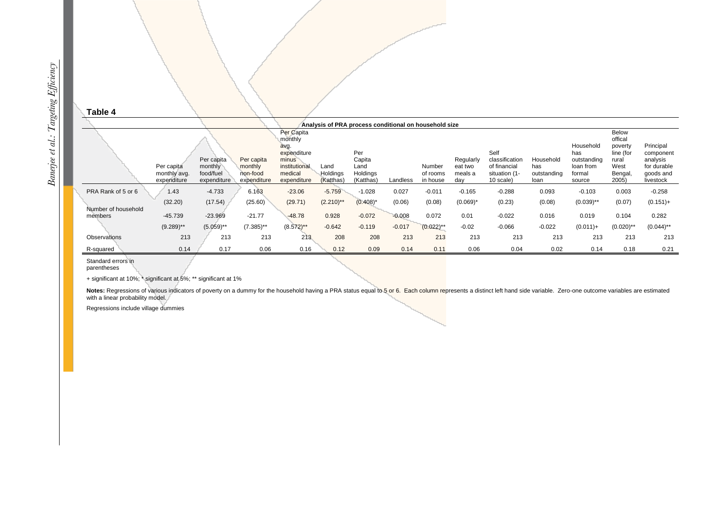| Analysis of PRA process conditional on household size |                                           |                                                   |                                                  |                                                                                                  |                               |                                                |          |                                |                                        |                                                                      |                                         |                                                                  |                                                                                     |                                                                             |
|-------------------------------------------------------|-------------------------------------------|---------------------------------------------------|--------------------------------------------------|--------------------------------------------------------------------------------------------------|-------------------------------|------------------------------------------------|----------|--------------------------------|----------------------------------------|----------------------------------------------------------------------|-----------------------------------------|------------------------------------------------------------------|-------------------------------------------------------------------------------------|-----------------------------------------------------------------------------|
|                                                       | Per capita<br>monthly avg.<br>expenditure | Per capita<br>monthly<br>food/fuel<br>expenditure | Per capita<br>monthly<br>non-food<br>expenditure | Per Capita<br>monthly<br>avg.<br>expenditure<br>minus<br>institutional<br>medical<br>expenditure | Land<br>Holdings<br>(Katthas) | Per<br>Capita<br>Land<br>Holdings<br>(Katthas) | Landless | Number<br>of rooms<br>in house | Regularly<br>eat two<br>meals a<br>day | Self<br>classification<br>of financial<br>situation (1-<br>10 scale) | Household<br>has<br>outstanding<br>loan | Household<br>has<br>outstanding<br>loan from<br>formal<br>source | <b>Below</b><br>offical<br>poverty<br>line (for<br>rural<br>West<br>Bengal<br>2005) | Principal<br>component<br>analysis<br>for durable<br>goods and<br>livestock |
| PRA Rank of 5 or 6                                    | 1.43                                      | $-4.733$                                          | 6.163                                            | $-23.06$                                                                                         | $-5.759$                      | $-1.028$                                       | 0.027    | $-0.011$                       | $-0.165$                               | $-0.288$                                                             | 0.093                                   | $-0.103$                                                         | 0.003                                                                               | $-0.258$                                                                    |
| Number of household                                   | (32.20)                                   | (17.54)                                           | (25.60)                                          | (29.71)                                                                                          | $(2.210)$ **                  | $(0.408)^*$                                    | (0.06)   | (0.08)                         | $(0.069)^*$                            | (0.23)                                                               | (0.08)                                  | $(0.039)$ **                                                     | (0.07)                                                                              | $(0.151) +$                                                                 |
| members                                               | $-45.739$                                 | $-23.969$                                         | $-21.77$                                         | $-48.78$                                                                                         | 0.928                         | $-0.072$                                       | $-0.008$ | 0.072                          | 0.01                                   | $-0.022$                                                             | 0.016                                   | 0.019                                                            | 0.104                                                                               | 0.282                                                                       |
|                                                       | $(9.289)$ **                              | $(5.059)$ **                                      | $(7.385)$ **                                     | $(8.572)$ **                                                                                     | $-0.642$                      | $-0.119$                                       | $-0.017$ | $(0.022)$ **                   | $-0.02$                                | $-0.066$                                                             | $-0.022$                                | $(0.011) +$                                                      | $(0.020)$ **                                                                        | $(0.044)$ **                                                                |
| Observations                                          | 213                                       | 213                                               | 213                                              | 213                                                                                              | 208                           | 208                                            | 213      | 213                            | 213                                    | 213                                                                  | 213                                     | 213                                                              | 213                                                                                 | 213                                                                         |
| R-squared                                             | 0.14                                      | 0.17                                              | 0.06                                             | 0.16                                                                                             | 0.12                          | 0.09                                           | 0.14     | 0.11                           | 0.06                                   | 0.04                                                                 | 0.02                                    | 0.14                                                             | 0.18                                                                                | 0.21                                                                        |

Standard errors in

parentheses

+ significant at 10%; \* significant at 5%; \*\* significant at 1%

Notes: Regressions of various indicators of poverty on a dummy for the household having a PRA status equal to 5 or 6. Each column represents a distinct left hand side variable. Zero-one outcome variables are estimated with a linear probability model.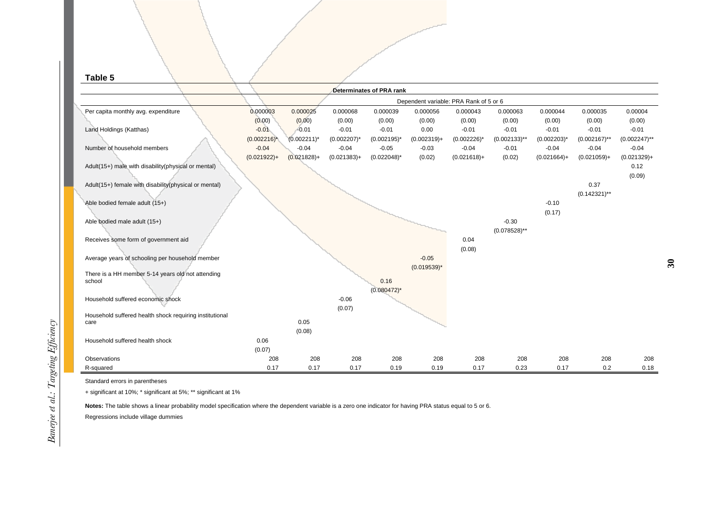|                                                                 |                    |                    |                    | <b>Determinates of PRA rank</b> |                                        |                    |                    |                    |                    |                   |
|-----------------------------------------------------------------|--------------------|--------------------|--------------------|---------------------------------|----------------------------------------|--------------------|--------------------|--------------------|--------------------|-------------------|
|                                                                 |                    |                    |                    |                                 | Dependent variable: PRA Rank of 5 or 6 |                    |                    |                    |                    |                   |
| Per capita monthly avg. expenditure                             | 0.000003<br>(0.00) | 0.000025<br>(0.00) | 0.000068<br>(0.00) | 0.000039<br>(0.00)              | 0.000056<br>(0.00)                     | 0.000043<br>(0.00) | 0.000063<br>(0.00) | 0.000044<br>(0.00) | 0.000035<br>(0.00) | 0.00004<br>(0.00) |
| Land Holdings (Katthas)                                         | $-0.01$            | $-0.01$            | $-0.01$            | $-0.01$                         | 0.00                                   | $-0.01$            | $-0.01$            | $-0.01$            | $-0.01$            | $-0.01$           |
|                                                                 | $(0.002216)^*$     | $(0.002211)^*$     | $(0.002207)^*$     | $(0.002195)^{*}$                | $(0.002319)+$                          | (0.002226)         | $(0.002133)$ **    | (0.002203)         | $(0.002167)$ **    | $(0.002247)$ **   |
| Number of household members                                     | $-0.04$            | $-0.04$            | $-0.04$            | $-0.05$                         | $-0.03$                                | $-0.04$            | $-0.01$            | $-0.04$            | $-0.04$            | $-0.04$           |
|                                                                 | $(0.021922)+$      | $(0.021828)+$      | $(0.021383)+$      | $(0.022048)^*$                  | (0.02)                                 | $(0.021618)+$      | (0.02)             | $(0.021664) +$     | $(0.021059)+$      | $(0.021329)+$     |
| Adult(15+) male with disability(physical or mental)             |                    |                    |                    |                                 |                                        |                    |                    |                    |                    | 0.12<br>(0.09)    |
| Adult(15+) female with disability(physical or mental)           |                    |                    |                    |                                 |                                        |                    |                    |                    | 0.37               |                   |
|                                                                 |                    |                    |                    |                                 |                                        |                    |                    |                    | $(0.142321)$ **    |                   |
| Able bodied female adult (15+)                                  |                    |                    |                    |                                 |                                        |                    |                    | $-0.10$            |                    |                   |
|                                                                 |                    |                    |                    |                                 |                                        |                    |                    | (0.17)             |                    |                   |
| Able bodied male adult (15+)                                    |                    |                    |                    |                                 |                                        |                    | $-0.30$            |                    |                    |                   |
|                                                                 |                    |                    |                    |                                 |                                        |                    | $(0.078528)$ **    |                    |                    |                   |
| Receives some form of government aid                            |                    |                    |                    |                                 |                                        | 0.04               |                    |                    |                    |                   |
|                                                                 |                    |                    |                    |                                 |                                        | (0.08)             |                    |                    |                    |                   |
| Average years of schooling per household member                 |                    |                    |                    |                                 | $-0.05$                                |                    |                    |                    |                    |                   |
| There is a HH member 5-14 years old not attending               |                    |                    |                    |                                 | $(0.019539)^{*}$                       |                    |                    |                    |                    |                   |
| school                                                          |                    |                    |                    | 0.16                            |                                        |                    |                    |                    |                    |                   |
|                                                                 |                    |                    |                    | $(0.080472)^{*}$                |                                        |                    |                    |                    |                    |                   |
| Household suffered economic shock                               |                    |                    | $-0.06$            |                                 |                                        |                    |                    |                    |                    |                   |
|                                                                 |                    |                    | (0.07)             |                                 |                                        |                    |                    |                    |                    |                   |
| Household suffered health shock requiring institutional<br>care |                    | 0.05               |                    |                                 |                                        |                    |                    |                    |                    |                   |
|                                                                 |                    | (0.08)             |                    |                                 |                                        |                    |                    |                    |                    |                   |
| Household suffered health shock                                 | 0.06               |                    |                    |                                 |                                        |                    |                    |                    |                    |                   |
|                                                                 | (0.07)             |                    |                    |                                 |                                        |                    |                    |                    |                    |                   |
| Observations                                                    | 208                | 208                | 208                | 208                             | 208                                    | 208                | 208                | 208                | 208                | 208               |
| R-squared                                                       | 0.17               | 0.17               | 0.17               | 0.19                            | 0.19                                   | 0.17               | 0.23               | 0.17               | 0.2                | 0.18              |

Standard errors in parentheses

+ significant at 10%; \* significant at 5%; \*\* significant at 1%

**Notes:** The table shows a linear probability model specification where the dependent variable is a zero one indicator for having PRA status equal to 5 or 6.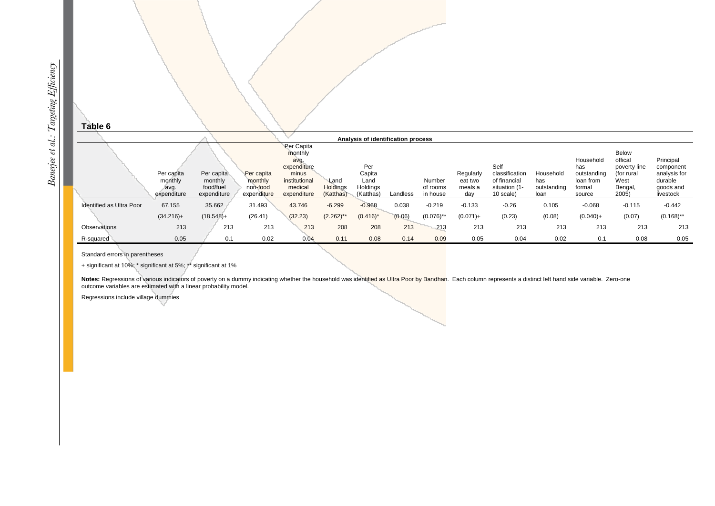|                          | Analysis of identification process           |                                                   |                                                  |                                                                                                  |                               |                                                |          |                                |                                        |                                                                      |                                         |                                                                  |                                                                                   |                                                                             |
|--------------------------|----------------------------------------------|---------------------------------------------------|--------------------------------------------------|--------------------------------------------------------------------------------------------------|-------------------------------|------------------------------------------------|----------|--------------------------------|----------------------------------------|----------------------------------------------------------------------|-----------------------------------------|------------------------------------------------------------------|-----------------------------------------------------------------------------------|-----------------------------------------------------------------------------|
|                          | Per capita<br>monthly<br>avg.<br>expenditure | Per capita<br>monthly<br>food/fuel<br>expenditure | Per capita<br>monthly<br>non-food<br>expenditure | Per Capita<br>monthly<br>avg.<br>expenditure<br>minus<br>institutional<br>medical<br>expenditure | Land<br>Holdings<br>(Katthas) | Per<br>Capita<br>Land<br>Holdings<br>(Katthas) | Landless | Number<br>of rooms<br>in house | Regularly<br>eat two<br>meals a<br>day | Self<br>classification<br>of financial<br>situation (1-<br>10 scale) | Household<br>has<br>outstanding<br>loan | Household<br>has<br>outstanding<br>loan from<br>formal<br>source | <b>Below</b><br>offical<br>poverty line<br>(for rural<br>West<br>Bengal,<br>2005) | Principal<br>component<br>analysis for<br>durable<br>goods and<br>livestock |
| Identified as Ultra Poor | 67.155                                       | 35.662                                            | 31.493                                           | 43.746                                                                                           | $-6.299$                      | $-0.968$                                       | 0.038    | $-0.219$                       | $-0.133$                               | $-0.26$                                                              | 0.105                                   | $-0.068$                                                         | $-0.115$                                                                          | $-0.442$                                                                    |
|                          | $(34.216)+$                                  | $(18.548) +$                                      | (26.41)                                          | (32.23)                                                                                          | $(2.262)$ **                  | $(0.416)^*$                                    | (0.06)   | $(0.076)$ **                   | $(0.071) +$                            | (0.23)                                                               | (0.08)                                  | $(0.040)+$                                                       | (0.07)                                                                            | $(0.168)$ **                                                                |
| <b>Observations</b>      | 213                                          | 213                                               | 213                                              | 213                                                                                              | 208                           | 208                                            | 213      | 213                            | 213                                    | 213                                                                  | 213                                     | 213                                                              | 213                                                                               | 213                                                                         |
| R-squared                | 0.05                                         | 0.1                                               | 0.02                                             | 0.04                                                                                             | $0.1^{\circ}$                 | 0.08                                           | 0.14     | 0.09                           | 0.05                                   | 0.04                                                                 | 0.02                                    | 0.1                                                              | 0.08                                                                              | 0.05                                                                        |

Standard errors in parentheses

+ significant at 10%; \* significant at 5%; \*\* significant at 1%

**Notes:** Regressions of various indicators of poverty on a dummy indicating whether the household was identified as Ultra Poor by Bandhan. Each column represents a distinct left hand side variable. Zero-one outcome variables are estimated with a linear probability model.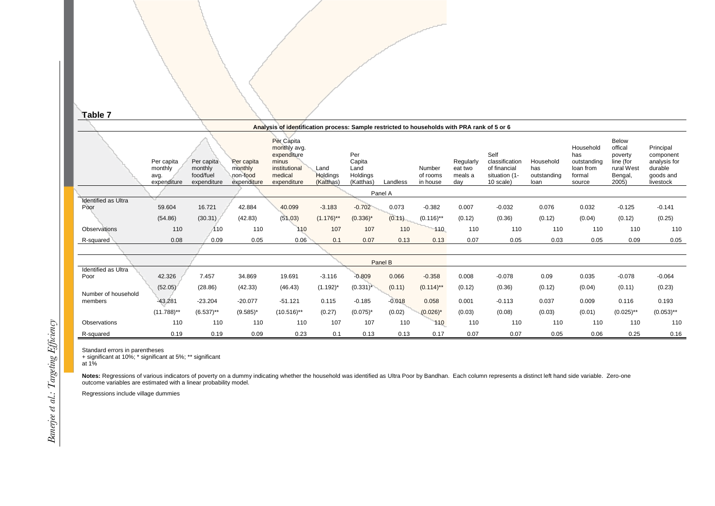| Analysis of identification process: Sample restricted to households with PRA rank of 5 or 6 |                                              |                                                   |                                                  |                                                                                               |                                                     |                                                |               |                                  |                                        |                                                                      |                                         |                                                                  |                                                                            |                                                                             |
|---------------------------------------------------------------------------------------------|----------------------------------------------|---------------------------------------------------|--------------------------------------------------|-----------------------------------------------------------------------------------------------|-----------------------------------------------------|------------------------------------------------|---------------|----------------------------------|----------------------------------------|----------------------------------------------------------------------|-----------------------------------------|------------------------------------------------------------------|----------------------------------------------------------------------------|-----------------------------------------------------------------------------|
|                                                                                             | Per capita<br>monthly<br>avg.<br>expenditure | Per capita<br>monthly<br>food/fuel<br>expenditure | Per capita<br>monthly<br>non-food<br>expenditure | Per Capita<br>monthly avg.<br>expenditure<br>minus<br>institutional<br>medical<br>expenditure | Land<br>Holdings<br>(Katthas)                       | Per<br>Capita<br>Land<br>Holdings<br>(Katthas) | Landless      | Number<br>of rooms<br>in house   | Regularly<br>eat two<br>meals a<br>day | Self<br>classification<br>of financial<br>situation (1-<br>10 scale) | Household<br>has<br>outstanding<br>loan | Household<br>has<br>outstanding<br>loan from<br>formal<br>source | Below<br>offical<br>poverty<br>line (for<br>rural West<br>Bengal,<br>2005) | Principal<br>component<br>analysis for<br>durable<br>goods and<br>livestock |
|                                                                                             |                                              |                                                   |                                                  |                                                                                               |                                                     |                                                | Panel A       |                                  |                                        |                                                                      |                                         |                                                                  |                                                                            |                                                                             |
| Identified as Ultra<br>Poor                                                                 | 59.604                                       | 16.721                                            | 42.884                                           | 40.099                                                                                        | $-3.183$                                            | $-0.702$                                       | 0.073         | $-0.382$                         | 0.007                                  | $-0.032$                                                             | 0.076                                   | 0.032                                                            | $-0.125$                                                                   | $-0.141$                                                                    |
|                                                                                             | (54.86)                                      | (30.31)                                           | (42.83)                                          | (51.03)                                                                                       | $(1.176)$ **                                        | $(0.336)^{*}$                                  | (0.11)        | $(0.116)$ **                     | (0.12)                                 | (0.36)                                                               | (0.12)                                  | (0.04)                                                           | (0.12)                                                                     | (0.25)                                                                      |
| Observations                                                                                | 110                                          | 110                                               | 110                                              | 110                                                                                           | 107                                                 | 107                                            | 110           | 110                              | 110                                    | 110                                                                  | 110                                     | 110                                                              | 110                                                                        | 110                                                                         |
| R-squared                                                                                   | 0.08                                         | 0.09                                              | 0.05                                             | 0.06                                                                                          | 0.1                                                 | 0.07                                           | 0.13          | 0.13                             | 0.07                                   | 0.05                                                                 | 0.03                                    | 0.05                                                             | 0.09                                                                       | 0.05                                                                        |
|                                                                                             |                                              |                                                   |                                                  |                                                                                               |                                                     |                                                |               |                                  |                                        |                                                                      |                                         |                                                                  |                                                                            |                                                                             |
|                                                                                             |                                              |                                                   |                                                  |                                                                                               |                                                     |                                                | Panel B       |                                  |                                        |                                                                      |                                         |                                                                  |                                                                            |                                                                             |
| Identified as Ultra<br>Poor                                                                 | 42.326                                       | 7.457                                             | 34.869                                           | 19.691                                                                                        | $-3.116$                                            | $-0.809$                                       | 0.066         | $-0.358$                         | 0.008                                  | $-0.078$                                                             | 0.09                                    | 0.035                                                            | $-0.078$                                                                   | $-0.064$                                                                    |
|                                                                                             | $(1 - \alpha)$                               | (0.000)                                           | (100, 0.0)                                       | $\mathbf{1}$                                                                                  | $\mathbf{r}$ $\mathbf{r}$ $\mathbf{r}$ $\mathbf{r}$ | (0.000)                                        | $\sim$ $\sim$ | $\sqrt{2}$ $\sqrt{2}$ $\sqrt{2}$ | (0, 1, 0)                              | (0.002)                                                              | (0, 1, 0)                               | $\sim$ $\sim$ $\sim$                                             | $\sim$ $\sim$                                                              | (0.002)                                                                     |

|                             |               |              |             |               |               |             | .        |              |        |          |        |        |              |              |
|-----------------------------|---------------|--------------|-------------|---------------|---------------|-------------|----------|--------------|--------|----------|--------|--------|--------------|--------------|
| Identified as Ultra<br>Poor | 42.326        | 7.457        | 34.869      | 19.691        | $-3.116$      | $-0.809$    | 0.066    | $-0.358$     | 0.008  | $-0.078$ | 0.09   | 0.035  | $-0.078$     | $-0.064$     |
| Number of household         | (52.05)       | (28.86)      | (42.33)     | (46.43)       | $(1.192)^{*}$ | $(0.331)^*$ | (0.11)   | $(0.114)$ ** | (0.12) | (0.36)   | (0.12) | (0.04) | (0.11)       | (0.23)       |
| members                     | $-43.281$     | $-23.204$    | $-20.077$   | $-51.121$     | 0.115         | $-0.185$    | $-0.018$ | 0.058        | 0.001  | $-0.113$ | 0.037  | 0.009  | 0.116        | 0.193        |
|                             | $(11.788)$ ** | $(6.537)$ ** | $(9.585)^*$ | $(10.516)$ ** | (0.27)        | $(0.075)^*$ | (0.02)   | $(0.026)$ *  | (0.03) | (0.08)   | (0.03) | (0.01) | $(0.025)$ ** | $(0.053)$ ** |
| Observations                | 110           | 110          | 110         | 110           | 107           | 107         | 110      | 110          | 110    | 110      | 110    | 110    | 110          | 110          |
| R-squared                   | 0.19          | 0.19         | 0.09        | 0.23          | 0.1           | 0.13        | 0.13     | 0.17         | 0.07   | 0.07     | 0.05   | 0.06   | 0.25         | 0.16         |

Standard errors in parentheses

+ significant at 10%; \* significant at 5%; \*\* significant

at 1%

**Notes:** Regressions of various indicators of poverty on a dummy indicating whether the household was identified as Ultra Poor by Bandhan. Each column represents a distinct left hand side variable. Zero-one outcome variables are estimated with a linear probability model.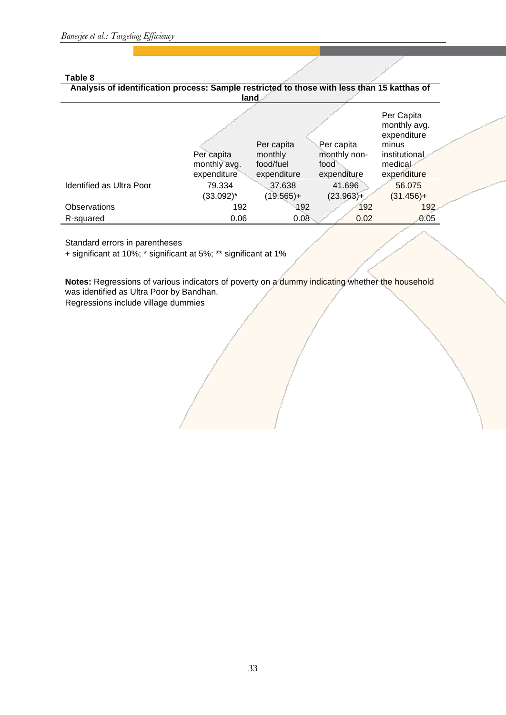| Analysis of identification process: Sample restricted to those with less than 15 katthas of |
|---------------------------------------------------------------------------------------------|
| land                                                                                        |

|                          | Per capita<br>monthly avg.<br>expenditure | Per capita<br>monthly<br>food/fuel<br>expenditure | Per capita<br>monthly non-<br>food<br>expenditure | Per Capita<br>monthly avg.<br>expenditure<br>minus<br>institutional<br>medical<br>expenditure |
|--------------------------|-------------------------------------------|---------------------------------------------------|---------------------------------------------------|-----------------------------------------------------------------------------------------------|
| Identified as Ultra Poor | 79.334                                    | 37.638                                            | 41.696                                            | 56.075                                                                                        |
|                          | $(33.092)^{*}$                            | $(19.565)+$                                       | $(23.963)+$                                       | $(31.456)+$                                                                                   |
| Observations             | 192                                       | 192                                               | 192                                               | 192                                                                                           |
| R-squared                | 0.06                                      | 0.08                                              | 0.02                                              | 0.05                                                                                          |

Standard errors in parentheses

+ significant at 10%; \* significant at 5%; \*\* significant at 1%

**Notes:** Regressions of various indicators of poverty on a dummy indicating whether the household was identified as Ultra Poor by Bandhan.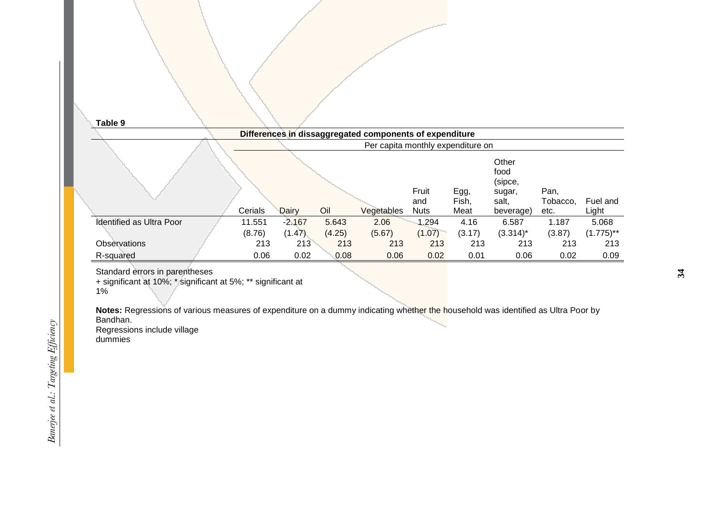| Differences in dissaggregated components of expenditure |                                   |                    |                 |                |                             |                       |                                                          |                          |                       |  |  |  |
|---------------------------------------------------------|-----------------------------------|--------------------|-----------------|----------------|-----------------------------|-----------------------|----------------------------------------------------------|--------------------------|-----------------------|--|--|--|
|                                                         | Per capita monthly expenditure on |                    |                 |                |                             |                       |                                                          |                          |                       |  |  |  |
|                                                         | Cerials                           | Dairy              | Oil             | Vegetables     | Fruit<br>and<br><b>Nuts</b> | Egg,<br>Fish,<br>Meat | Other<br>food<br>(sipce,<br>sugar,<br>salt.<br>beverage) | Pan,<br>Tobacco,<br>etc. | Fuel and<br>Light     |  |  |  |
| Identified as Ultra Poor                                | 11.551<br>(8.76)                  | $-2.167$<br>(1.47) | 5.643<br>(4.25) | 2.06<br>(5.67) | 1.294<br>(1.07)             | 4.16<br>(3.17)        | 6.587<br>$(3.314)^*$                                     | 1.187<br>(3.87)          | 5.068<br>$(1.775)$ ** |  |  |  |
| <b>Observations</b>                                     | 213                               | 213                | 213             | 213            | 213                         | 213                   | 213                                                      | 213                      | 213                   |  |  |  |
| R-squared                                               | 0.06                              | 0.02               | 0.08            | 0.06           | 0.02                        | 0.01                  | 0.06                                                     | 0.02                     | 0.09                  |  |  |  |

Standard errors in parentheses

+ significant at 10%; \* significant at 5%; \*\* significant at

1%

**Notes:** Regressions of various measures of expenditure on a dummy indicating whether the household was identified as Ultra Poor by Bandhan.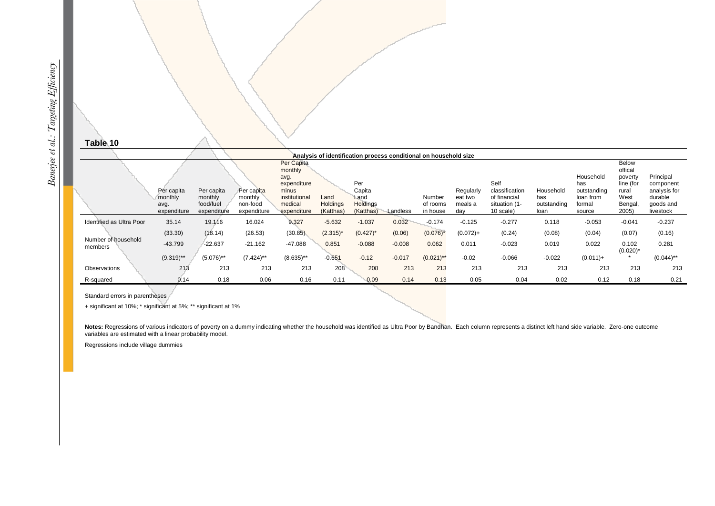| Analysis of identification process conditional on household size |                                              |                                                   |                                                  |                                                                                                  |                               |                                                       |          |                                |                                        |                                                                      |                                         |                                                                  |                                                                               |                                                                             |
|------------------------------------------------------------------|----------------------------------------------|---------------------------------------------------|--------------------------------------------------|--------------------------------------------------------------------------------------------------|-------------------------------|-------------------------------------------------------|----------|--------------------------------|----------------------------------------|----------------------------------------------------------------------|-----------------------------------------|------------------------------------------------------------------|-------------------------------------------------------------------------------|-----------------------------------------------------------------------------|
|                                                                  | Per capita<br>monthly<br>avg.<br>expenditure | Per capita<br>monthly<br>food/fuel<br>expenditure | Per capita<br>monthly<br>non-food<br>expenditure | Per Capita<br>monthly<br>avg.<br>expenditure<br>minus<br>institutional<br>medical<br>expenditure | Land<br>Holdings<br>(Katthas) | Per<br>Capita<br>Land<br><b>Holdings</b><br>(Katthas) | Landless | Number<br>of rooms<br>in house | Regularly<br>eat two<br>meals a<br>dav | Self<br>classification<br>of financial<br>situation (1-<br>10 scale) | Household<br>has<br>outstanding<br>loan | Household<br>has<br>outstanding<br>loan from<br>formal<br>source | Below<br>offical<br>poverty<br>line (for<br>rural<br>West<br>Bengal,<br>2005) | Principal<br>component<br>analysis for<br>durable<br>goods and<br>livestock |
| <b>Identified as Ultra Poor</b>                                  | 35.14                                        | 19.116                                            | 16.024                                           | 9.327                                                                                            | $-5.632$                      | $-1.037$                                              | 0.032    | $-0.174$                       | $-0.125$                               | $-0.277$                                                             | 0.118                                   | $-0.053$                                                         | $-0.041$                                                                      | $-0.237$                                                                    |
|                                                                  | (33.30)                                      | (18.14)                                           | (26.53)                                          | (30.85)                                                                                          | $(2.315)^*$                   | $(0.427)^*$                                           | (0.06)   | $(0.076)^*$                    | $(0.072) +$                            | (0.24)                                                               | (0.08)                                  | (0.04)                                                           | (0.07)                                                                        | (0.16)                                                                      |
| Number of household<br>members                                   | $-43.799$                                    | $-22.637$                                         | $-21.162$                                        | -47.088                                                                                          | 0.851                         | $-0.088$                                              | $-0.008$ | 0.062                          | 0.011                                  | $-0.023$                                                             | 0.019                                   | 0.022                                                            | 0.102<br>$(0.020)$ *                                                          | 0.281                                                                       |
|                                                                  | $(9.319)$ **                                 | $(5.076)$ **                                      | $(7.424)$ **                                     | $(8.635)$ **                                                                                     | $-0.651$                      | $-0.12$                                               | $-0.017$ | $(0.021)$ **                   | $-0.02$                                | $-0.066$                                                             | $-0.022$                                | $(0.011)+$                                                       |                                                                               | $(0.044)$ **                                                                |
| Observations                                                     | 213                                          | 213                                               | 213                                              | 213                                                                                              | 208                           | 208                                                   | 213      | 213                            | 213                                    | 213                                                                  | 213                                     | 213                                                              | 213                                                                           | 213                                                                         |
| R-squared                                                        | 0.14                                         | 0.18                                              | 0.06                                             | 0.16                                                                                             | 0.11                          | 0.09                                                  | 0.14     | 0.13                           | 0.05                                   | 0.04                                                                 | 0.02                                    | 0.12                                                             | 0.18                                                                          | 0.21                                                                        |

Standard errors in parentheses

+ significant at 10%; \* significant at 5%; \*\* significant at 1%

**Notes:** Regressions of various indicators of poverty on a dummy indicating whether the household was identified as Ultra Poor by Bandhan. Each column represents a distinct left hand side variable. Zero-one outcome variables are estimated with a linear probability model.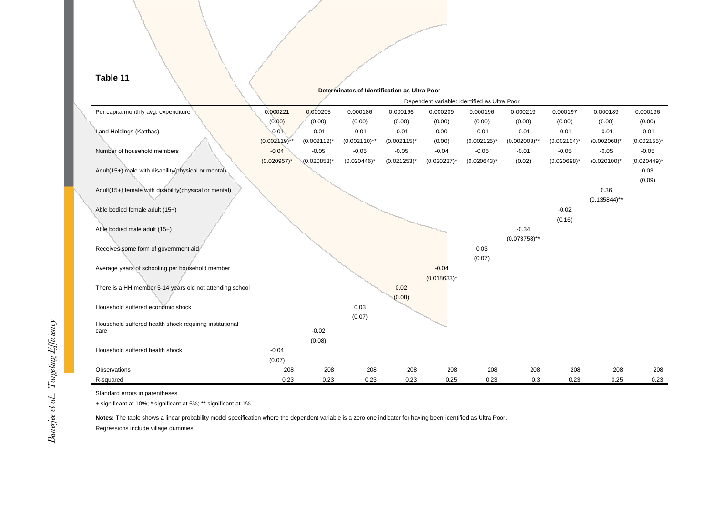|                                                          |                                              |                  | Determinates of Identification as Ultra Poor |                |                |                  |                 |                |                 |                  |  |  |
|----------------------------------------------------------|----------------------------------------------|------------------|----------------------------------------------|----------------|----------------|------------------|-----------------|----------------|-----------------|------------------|--|--|
|                                                          | Dependent variable: Identified as Ultra Poor |                  |                                              |                |                |                  |                 |                |                 |                  |  |  |
| Per capita monthly avg. expenditure                      | 0.000221                                     | 0.000205         | 0.000186                                     | 0.000196       | 0.000209       | 0.000196         | 0.000219        | 0.000197       | 0.000189        | 0.000196         |  |  |
|                                                          | (0.00)                                       | (0.00)           | (0.00)                                       | (0.00)         | (0.00)         | (0.00)           | (0.00)          | (0.00)         | (0.00)          | (0.00)           |  |  |
| Land Holdings (Katthas)                                  | $-0.01$                                      | $-0.01$          | $-0.01$                                      | $-0.01$        | 0.00           | $-0.01$          | $-0.01$         | $-0.01$        | $-0.01$         | $-0.01$          |  |  |
|                                                          | $(0.002119)$ **                              | $(0.002112)^{*}$ | $(0.002110)$ **                              | $(0.002115)^*$ | (0.00)         | $(0.002125)^{*}$ | $(0.002003)$ ** | $(0.002104)^*$ | $(0.002068)^*$  | $(0.002155)^*$   |  |  |
| Number of household members                              | $-0.04$                                      | $-0.05$          | $-0.05$                                      | $-0.05$        | $-0.04$        | $-0.05$          | $-0.01$         | $-0.05$        | $-0.05$         | $-0.05$          |  |  |
|                                                          | $(0.020957)^{*}$                             | $(0.020853)^{*}$ | $(0.020446)^*$                               | $(0.021253)^*$ | $(0.020237)^*$ | $(0.020643)^*$   | (0.02)          | $(0.020698)^*$ | $(0.020100)^*$  | $(0.020449)^{*}$ |  |  |
| Adult(15+) male with disability(physical or mental)      |                                              |                  |                                              |                |                |                  |                 |                |                 | 0.03<br>(0.09)   |  |  |
| Adult(15+) female with disability(physical or mental)    |                                              |                  |                                              |                |                |                  |                 |                | 0.36            |                  |  |  |
|                                                          |                                              |                  |                                              |                |                |                  |                 |                | $(0.135844)$ ** |                  |  |  |
| Able bodied female adult (15+)                           |                                              |                  |                                              |                |                |                  |                 | $-0.02$        |                 |                  |  |  |
|                                                          |                                              |                  |                                              |                |                |                  |                 | (0.16)         |                 |                  |  |  |
| Able bodied male adult (15+)                             |                                              |                  |                                              |                |                |                  | $-0.34$         |                |                 |                  |  |  |
|                                                          |                                              |                  |                                              |                |                |                  | $(0.073758)$ ** |                |                 |                  |  |  |
| Receives some form of government aid                     |                                              |                  |                                              |                |                | 0.03             |                 |                |                 |                  |  |  |
|                                                          |                                              |                  |                                              |                |                | (0.07)           |                 |                |                 |                  |  |  |
| Average years of schooling per household member          |                                              |                  |                                              |                | $-0.04$        |                  |                 |                |                 |                  |  |  |
| There is a HH member 5-14 years old not attending school |                                              |                  |                                              | 0.02           | $(0.018633)^*$ |                  |                 |                |                 |                  |  |  |
|                                                          |                                              |                  |                                              | (0.08)         |                |                  |                 |                |                 |                  |  |  |
| Household suffered economic shock                        |                                              |                  | 0.03                                         |                |                |                  |                 |                |                 |                  |  |  |
|                                                          |                                              |                  | (0.07)                                       |                |                |                  |                 |                |                 |                  |  |  |
| Household suffered health shock requiring institutional  |                                              |                  |                                              |                |                |                  |                 |                |                 |                  |  |  |
| care                                                     |                                              | $-0.02$          |                                              |                |                |                  |                 |                |                 |                  |  |  |
|                                                          |                                              | (0.08)           |                                              |                |                |                  |                 |                |                 |                  |  |  |
| Household suffered health shock                          | $-0.04$                                      |                  |                                              |                |                |                  |                 |                |                 |                  |  |  |
|                                                          | (0.07)                                       |                  |                                              |                |                |                  |                 |                |                 |                  |  |  |
| Observations                                             | 208                                          | 208              | 208                                          | 208            | 208            | 208              | 208             | 208            | 208             | 208              |  |  |
| R-squared                                                | 0.23                                         | 0.23             | 0.23                                         | 0.23           | 0.25           | 0.23             | 0.3             | 0.23           | 0.25            | 0.23             |  |  |

Standard errors in parentheses

+ significant at 10%; \* significant at 5%; \*\* significant at 1%

**Notes:** The table shows a linear probability model specification where the dependent variable is a zero one indicator for having been identified as Ultra Poor.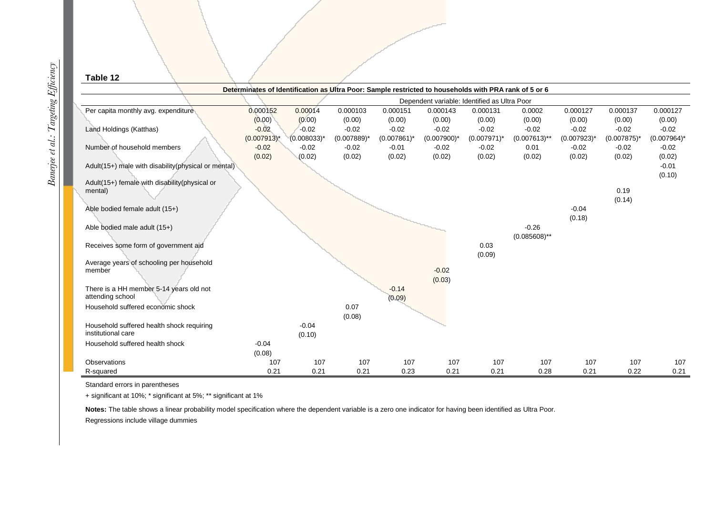|                                                                 | Determinates of Identification as Ultra Poor: Sample restricted to households with PRA rank of 5 or 6 |                   |                                              |                    |                    |                    |                  |                    |                    |                    |  |
|-----------------------------------------------------------------|-------------------------------------------------------------------------------------------------------|-------------------|----------------------------------------------|--------------------|--------------------|--------------------|------------------|--------------------|--------------------|--------------------|--|
|                                                                 |                                                                                                       |                   | Dependent variable: Identified as Ultra Poor |                    |                    |                    |                  |                    |                    |                    |  |
| Per capita monthly avg. expenditure                             | 0.000152<br>(0.00)                                                                                    | 0.00014<br>(0.00) | 0.000103<br>(0.00)                           | 0.000151<br>(0.00) | 0.000143<br>(0.00) | 0.000131<br>(0.00) | 0.0002<br>(0.00) | 0.000127<br>(0.00) | 0.000137<br>(0.00) | 0.000127<br>(0.00) |  |
| Land Holdings (Katthas)                                         | $-0.02$                                                                                               | $-0.02$           | $-0.02$                                      | $-0.02$            | $-0.02$            | $-0.02$            | $-0.02$          | $-0.02$            | $-0.02$            | $-0.02$            |  |
|                                                                 | $(0.007913)^{*}$                                                                                      | $(0.008033)^{*}$  | $(0.007889)^{*}$                             | $(0.007861)^*$     | $(0.007900)^*$     | $(0.007971)^*$     | $(0.007613)$ **  | $(0.007923)^{*}$   | $(0.007875)^*$     | $(0.007964)^*$     |  |
| Number of household members                                     | $-0.02$                                                                                               | $-0.02$           | $-0.02$                                      | $-0.01$            | $-0.02$            | $-0.02$            | 0.01             | $-0.02$            | $-0.02$            | $-0.02$            |  |
|                                                                 | (0.02)                                                                                                | (0.02)            | (0.02)                                       | (0.02)             | (0.02)             | (0.02)             | (0.02)           | (0.02)             | (0.02)             | (0.02)             |  |
| Adult(15+) male with disability(physical or mental)             |                                                                                                       |                   |                                              |                    |                    |                    |                  |                    |                    | $-0.01$            |  |
| Adult(15+) female with disability(physical or                   |                                                                                                       |                   |                                              |                    |                    |                    |                  |                    |                    | (0.10)             |  |
| mental)                                                         |                                                                                                       |                   |                                              |                    |                    |                    |                  |                    | 0.19               |                    |  |
|                                                                 |                                                                                                       |                   |                                              |                    |                    |                    |                  |                    | (0.14)             |                    |  |
| Able bodied female adult (15+)                                  |                                                                                                       |                   |                                              |                    |                    |                    |                  | $-0.04$            |                    |                    |  |
|                                                                 |                                                                                                       |                   |                                              |                    |                    |                    |                  | (0.18)             |                    |                    |  |
| Able bodied male adult (15+)                                    |                                                                                                       |                   |                                              |                    |                    |                    | $-0.26$          |                    |                    |                    |  |
|                                                                 |                                                                                                       |                   |                                              |                    |                    |                    | $(0.085608)$ **  |                    |                    |                    |  |
| Receives some form of government aid                            |                                                                                                       |                   |                                              |                    |                    | 0.03               |                  |                    |                    |                    |  |
| Average years of schooling per household                        |                                                                                                       |                   |                                              |                    |                    | (0.09)             |                  |                    |                    |                    |  |
| member                                                          |                                                                                                       |                   |                                              |                    | $-0.02$            |                    |                  |                    |                    |                    |  |
|                                                                 |                                                                                                       |                   |                                              |                    | (0.03)             |                    |                  |                    |                    |                    |  |
| There is a HH member 5-14 years old not                         |                                                                                                       |                   |                                              | $-0.14$            |                    |                    |                  |                    |                    |                    |  |
| attending school                                                |                                                                                                       |                   |                                              | (0.09)             |                    |                    |                  |                    |                    |                    |  |
| Household suffered economic shock                               |                                                                                                       |                   | 0.07                                         |                    |                    |                    |                  |                    |                    |                    |  |
|                                                                 |                                                                                                       |                   | (0.08)                                       |                    |                    |                    |                  |                    |                    |                    |  |
| Household suffered health shock requiring<br>institutional care |                                                                                                       | $-0.04$           |                                              |                    |                    |                    |                  |                    |                    |                    |  |
|                                                                 |                                                                                                       | (0.10)            |                                              |                    |                    |                    |                  |                    |                    |                    |  |
| Household suffered health shock                                 | $-0.04$<br>(0.08)                                                                                     |                   |                                              |                    |                    |                    |                  |                    |                    |                    |  |
| Observations                                                    | 107                                                                                                   | 107               | 107                                          | 107                | 107                | 107                | 107              | 107                | 107                | 107                |  |
| R-squared                                                       | 0.21                                                                                                  | 0.21              | 0.21                                         | 0.23               | 0.21               | 0.21               | 0.28             | 0.21               | 0.22               | 0.21               |  |

Standard errors in parentheses

+ significant at 10%; \* significant at 5%; \*\* significant at 1%

**Notes:** The table shows a linear probability model specification where the dependent variable is a zero one indicator for having been identified as Ultra Poor.